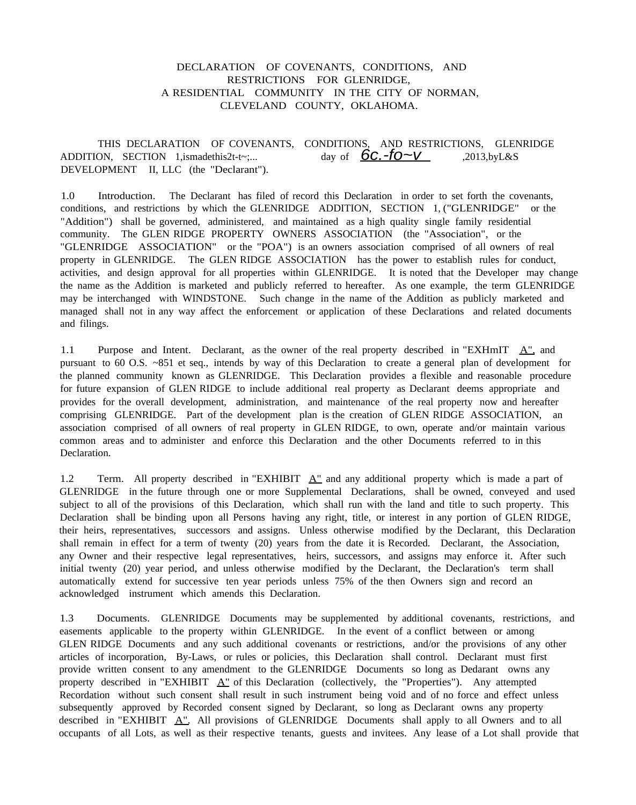# DECLARATION OF COVENANTS, CONDITIONS, AND RESTRICTIONS FOR GLENRIDGE, A RESIDENTIAL COMMUNITY IN THE CITY OF NORMAN, CLEVELAND COUNTY, OKLAHOMA.

THIS DECLARATION OF COVENANTS, CONDITIONS, AND RESTRICTIONS, GLENRIDGE ADDITION, SECTION 1,ismadethis2t-t~;... day of  $\overline{6c.-10} \sim V$  ,2013,byL&S DEVELOPMENT II, LLC (the "Declarant").

1.0 Introduction. The Declarant has filed of record this Declaration in order to set forth the covenants, conditions, and restrictions by which the GLENRIDGE ADDITION, SECTION 1, ("GLENRIDGE" or the "Addition") shall be governed, administered, and maintained as a high quality single family residential community. The GLEN RIDGE PROPERTY OWNERS ASSOCIATION (the "Association", or the "GLENRIDGE ASSOCIATION" or the "POA") is an owners association comprised of all owners of real property in GLENRIDGE. The GLEN RIDGE ASSOCIATION has the power to establish rules for conduct, activities, and design approval for all properties within GLENRIDGE. It is noted that the Developer may change the name as the Addition is marketed and publicly referred to hereafter. As one example, the term GLENRIDGE may be interchanged with WINDSTONE. Such change in the name of the Addition as publicly marketed and managed shall not in any way affect the enforcement or application of these Declarations and related documents and filings.

1.1 Purpose and Intent. Declarant, as the owner of the real property described in "EXHmIT  $\mathbf{A}$ " and pursuant to 60 O.S. ~851 et seq., intends by way of this Declaration to create a general plan of development for the planned community known as GLENRIDGE. This Declaration provides a flexible and reasonable procedure for future expansion of GLEN RIDGE to include additional real property as Declarant deems appropriate and provides for the overall development, administration, and maintenance of the real property now and hereafter comprising GLENRIDGE. Part of the development plan is the creation of GLEN RIDGE ASSOCIATION, an association comprised of all owners of real property in GLEN RIDGE, to own, operate and/or maintain various common areas and to administer and enforce this Declaration and the other Documents referred to in this Declaration.

1.2 Term. All property described in "EXHIBIT  $\underline{A}$ " and any additional property which is made a part of GLENRIDGE in the future through one or more Supplemental Declarations, shall be owned, conveyed and used subject to all of the provisions of this Declaration, which shall run with the land and title to such property. This Declaration shall be binding upon all Persons having any right, title, or interest in any portion of GLEN RIDGE, their heirs, representatives, successors and assigns. Unless otherwise modified by the Declarant, this Declaration shall remain in effect for a term of twenty (20) years from the date it is Recorded. Declarant, the Association, any Owner and their respective legal representatives, heirs, successors, and assigns may enforce it. After such initial twenty (20) year period, and unless otherwise modified by the Declarant, the Declaration's term shall automatically extend for successive ten year periods unless 75% of the then Owners sign and record an acknowledged instrument which amends this Declaration.

1.3 Documents. GLENRIDGE Documents may be supplemented by additional covenants, restrictions, and easements applicable to the property within GLENRIDGE. In the event of a conflict between or among GLEN RIDGE Documents and any such additional covenants or restrictions, and/or the provisions of any other articles of incorporation, By-Laws, or rules or policies, this Declaration shall control. Declarant must first provide written consent to any amendment to the GLENRIDGE Documents so long as Dedarant owns any property described in "EXHIBIT  $\Delta$ " of this Declaration (collectively, the "Properties"). Any attempted Recordation without such consent shall result in such instrument being void and of no force and effect unless subsequently approved by Recorded consent signed by Declarant, so long as Declarant owns any property described in "EXHIBIT  $A$ ". All provisions of GLENRIDGE Documents shall apply to all Owners and to all occupants of all Lots, as well as their respective tenants, guests and invitees. Any lease of a Lot shall provide that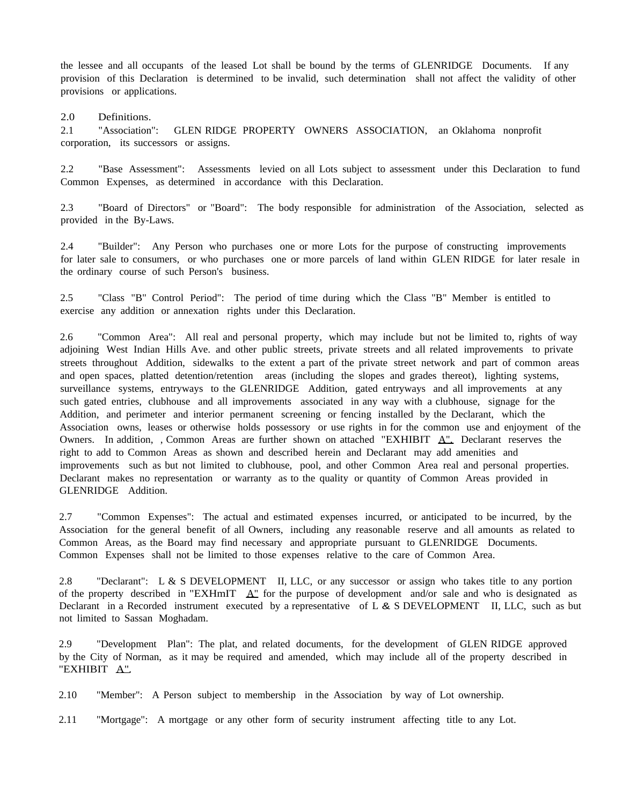the lessee and all occupants of the leased Lot shall be bound by the terms of GLENRIDGE Documents. If any provision of this Declaration is determined to be invalid, such determination shall not affect the validity of other provisions or applications.

2.0 Definitions.

2.1 "Association": GLEN RIDGE PROPERTY OWNERS ASSOCIATION, an Oklahoma nonprofit corporation, its successors or assigns.

2.2 "Base Assessment": Assessments levied on all Lots subject to assessment under this Declaration to fund Common Expenses, as determined in accordance with this Declaration.

2.3 "Board of Directors" or "Board": The body responsible for administration of the Association, selected as provided in the By-Laws.

2.4 "Builder": Any Person who purchases one or more Lots for the purpose of constructing improvements for later sale to consumers, or who purchases one or more parcels of land within GLEN RIDGE for later resale in the ordinary course of such Person's business.

2.5 "Class "B" Control Period": The period of time during which the Class "B" Member is entitled to exercise any addition or annexation rights under this Declaration.

2.6 "Common Area": All real and personal property, which may include but not be limited to, rights of way adjoining West Indian Hills Ave. and other public streets, private streets and all related improvements to private streets throughout Addition, sidewalks to the extent a part of the private street network and part of common areas and open spaces, platted detention/retention areas (including the slopes and grades thereot), lighting systems, surveillance systems, entryways to the GLENRIDGE Addition, gated entryways and all improvements at any such gated entries, clubhouse and all improvements associated in any way with a clubhouse, signage for the Addition, and perimeter and interior permanent screening or fencing installed by the Declarant, which the Association owns, leases or otherwise holds possessory or use rights in for the common use and enjoyment of the Owners. In addition, , Common Areas are further shown on attached "EXHIBIT  $\Delta$ ". Declarant reserves the right to add to Common Areas as shown and described herein and Declarant may add amenities and improvements such as but not limited to clubhouse, pool, and other Common Area real and personal properties. Declarant makes no representation or warranty as to the quality or quantity of Common Areas provided in GLENRIDGE Addition.

2.7 "Common Expenses": The actual and estimated expenses incurred, or anticipated to be incurred, by the Association for the general benefit of all Owners, including any reasonable reserve and all amounts as related to Common Areas, as the Board may find necessary and appropriate pursuant to GLENRIDGE Documents. Common Expenses shall not be limited to those expenses relative to the care of Common Area.

2.8 "Declarant": L & S DEVELOPMENT II, LLC, or any successor or assign who takes title to any portion of the property described in "EXHmIT  $\Delta$ " for the purpose of development and/or sale and who is designated as Declarant in a Recorded instrument executed by a representative of L & S DEVELOPMENT II, LLC, such as but not limited to Sassan Moghadam.

2.9 "Development Plan": The plat, and related documents, for the development of GLEN RIDGE approved by the City of Norman, as it may be required and amended, which may include all of the property described in "EXHIBIT A"

2.10 "Member": A Person subject to membership in the Association by way of Lot ownership.

2.11 "Mortgage": A mortgage or any other form of security instrument affecting title to any Lot.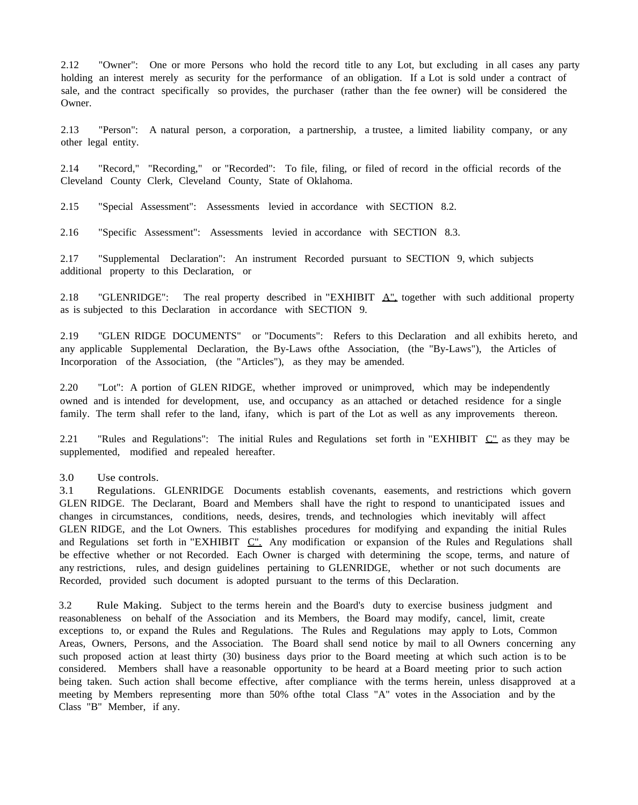2.12 "Owner": One or more Persons who hold the record title to any Lot, but excluding in all cases any party holding an interest merely as security for the performance of an obligation. If a Lot is sold under a contract of sale, and the contract specifically so provides, the purchaser (rather than the fee owner) will be considered the Owner.

2.13 "Person": A natural person, a corporation, a partnership, a trustee, a limited liability company, or any other legal entity.

2.14 "Record," "Recording," or "Recorded": To file, filing, or filed of record in the official records of the Cleveland County Clerk, Cleveland County, State of Oklahoma.

2.15 "Special Assessment": Assessments levied in accordance with SECTION 8.2.

2.16 "Specific Assessment": Assessments levied in accordance with SECTION 8.3.

2.17 "Supplemental Declaration": An instrument Recorded pursuant to SECTION 9, which subjects additional property to this Declaration, or

2.18 "GLENRIDGE": The real property described in "EXHIBIT  $\Delta_{\perp}^{\prime\prime}$  together with such additional property as is subjected to this Declaration in accordance with SECTION 9.

2.19 "GLEN RIDGE DOCUMENTS" or "Documents": Refers to this Declaration and all exhibits hereto, and any applicable Supplemental Declaration, the By-Laws ofthe Association, (the "By-Laws"), the Articles of Incorporation of the Association, (the "Articles"), as they may be amended.

2.20 "Lot": A portion of GLEN RIDGE, whether improved or unimproved, which may be independently owned and is intended for development, use, and occupancy as an attached or detached residence for a single family. The term shall refer to the land, ifany, which is part of the Lot as well as any improvements thereon.

2.21 "Rules and Regulations": The initial Rules and Regulations set forth in "EXHIBIT  $C^{\prime\prime}$  as they may be supplemented, modified and repealed hereafter.

3.0 Use controls.

3.1 Regulations. GLENRIDGE Documents establish covenants, easements, and restrictions which govern GLEN RIDGE. The Declarant, Board and Members shall have the right to respond to unanticipated issues and changes in circumstances, conditions, needs, desires, trends, and technologies which inevitably will affect GLEN RIDGE, and the Lot Owners. This establishes procedures for modifying and expanding the initial Rules and Regulations set forth in "EXHIBIT  $C$ ". Any modification or expansion of the Rules and Regulations shall be effective whether or not Recorded. Each Owner is charged with determining the scope, terms, and nature of any restrictions, rules, and design guidelines pertaining to GLENRIDGE, whether or not such documents are Recorded, provided such document is adopted pursuant to the terms of this Declaration.

3.2 Rule Making. Subject to the terms herein and the Board's duty to exercise business judgment and reasonableness on behalf of the Association and its Members, the Board may modify, cancel, limit, create exceptions to, or expand the Rules and Regulations. The Rules and Regulations may apply to Lots, Common Areas, Owners, Persons, and the Association. The Board shall send notice by mail to all Owners concerning any such proposed action at least thirty (30) business days prior to the Board meeting at which such action is to be considered. Members shall have a reasonable opportunity to be heard at a Board meeting prior to such action being taken. Such action shall become effective, after compliance with the terms herein, unless disapproved at a meeting by Members representing more than 50% ofthe total Class "A" votes in the Association and by the Class "B" Member, if any.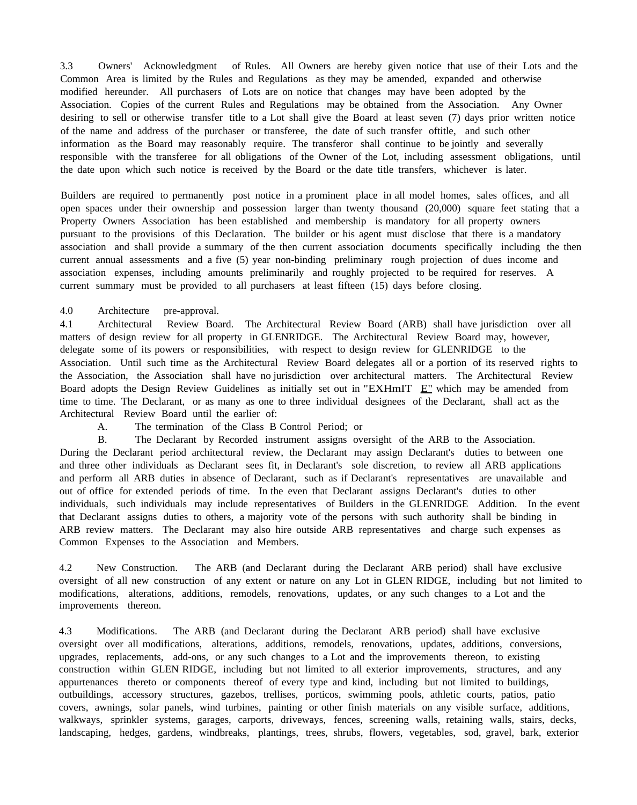3.3 Owners' Acknowledgment of Rules. All Owners are hereby given notice that use of their Lots and the Common Area is limited by the Rules and Regulations as they may be amended, expanded and otherwise modified hereunder. All purchasers of Lots are on notice that changes may have been adopted by the Association. Copies of the current Rules and Regulations may be obtained from the Association. Any Owner desiring to sell or otherwise transfer title to a Lot shall give the Board at least seven (7) days prior written notice of the name and address of the purchaser or transferee, the date of such transfer oftitle, and such other information as the Board may reasonably require. The transferor shall continue to be jointly and severally responsible with the transferee for all obligations of the Owner of the Lot, including assessment obligations, until the date upon which such notice is received by the Board or the date title transfers, whichever is later.

Builders are required to permanently post notice in a prominent place in all model homes, sales offices, and all open spaces under their ownership and possession larger than twenty thousand (20,000) square feet stating that a Property Owners Association has been established and membership is mandatory for all property owners pursuant to the provisions of this Declaration. The builder or his agent must disclose that there is a mandatory association and shall provide a summary of the then current association documents specifically including the then current annual assessments and a five (5) year non-binding preliminary rough projection of dues income and association expenses, including amounts preliminarily and roughly projected to be required for reserves. A current summary must be provided to all purchasers at least fifteen (15) days before closing.

## 4.0 Architecture pre-approval.

4.1 Architectural Review Board. The Architectural Review Board (ARB) shall have jurisdiction over all matters of design review for all property in GLENRIDGE. The Architectural Review Board may, however, delegate some of its powers or responsibilities, with respect to design review for GLENRIDGE to the Association. Until such time as the Architectural Review Board delegates all or a portion of its reserved rights to the Association, the Association shall have no jurisdiction over architectural matters. The Architectural Review Board adopts the Design Review Guidelines as initially set out in "EXHmIT E" which may be amended from time to time. The Declarant, or as many as one to three individual designees of the Declarant, shall act as the Architectural Review Board until the earlier of:

A. The termination of the Class B Control Period; or

B. The Declarant by Recorded instrument assigns oversight of the ARB to the Association. During the Declarant period architectural review, the Declarant may assign Declarant's duties to between one and three other individuals as Declarant sees fit, in Declarant's sole discretion, to review all ARB applications and perform all ARB duties in absence of Declarant, such as if Declarant's representatives are unavailable and out of office for extended periods of time. In the even that Declarant assigns Declarant's duties to other individuals, such individuals may include representatives of Builders in the GLENRIDGE Addition. In the event that Declarant assigns duties to others, a majority vote of the persons with such authority shall be binding in ARB review matters. The Declarant may also hire outside ARB representatives and charge such expenses as Common Expenses to the Association and Members.

4.2 New Construction. The ARB (and Declarant during the Declarant ARB period) shall have exclusive oversight of all new construction of any extent or nature on any Lot in GLEN RIDGE, including but not limited to modifications, alterations, additions, remodels, renovations, updates, or any such changes to a Lot and the improvements thereon.

4.3 Modifications. The ARB (and Declarant during the Declarant ARB period) shall have exclusive oversight over all modifications, alterations, additions, remodels, renovations, updates, additions, conversions, upgrades, replacements, add-ons, or any such changes to a Lot and the improvements thereon, to existing construction within GLEN RIDGE, including but not limited to all exterior improvements, structures, and any appurtenances thereto or components thereof of every type and kind, including but not limited to buildings, outbuildings, accessory structures, gazebos, trellises, porticos, swimming pools, athletic courts, patios, patio covers, awnings, solar panels, wind turbines, painting or other finish materials on any visible surface, additions, walkways, sprinkler systems, garages, carports, driveways, fences, screening walls, retaining walls, stairs, decks, landscaping, hedges, gardens, windbreaks, plantings, trees, shrubs, flowers, vegetables, sod, gravel, bark, exterior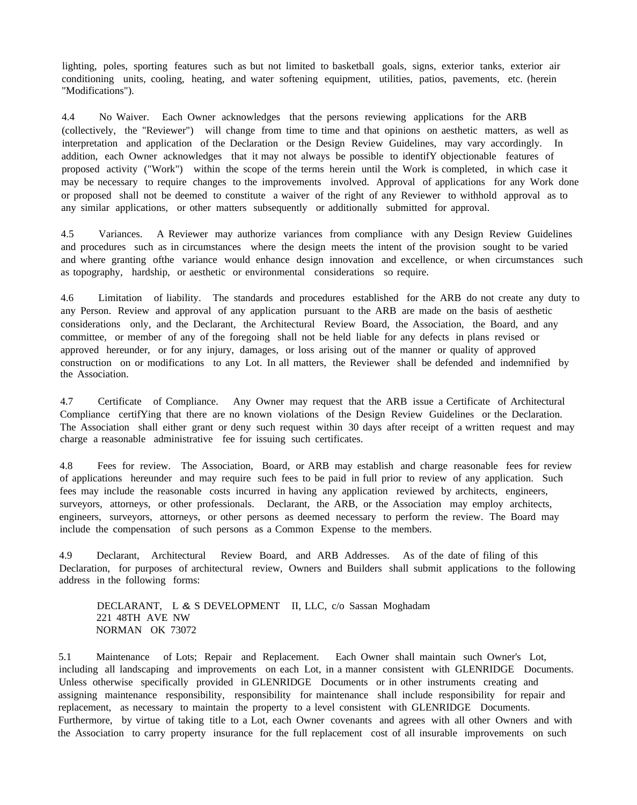lighting, poles, sporting features such as but not limited to basketball goals, signs, exterior tanks, exterior air conditioning units, cooling, heating, and water softening equipment, utilities, patios, pavements, etc. (herein "Modifications").

4.4 No Waiver. Each Owner acknowledges that the persons reviewing applications for the ARB (collectively, the "Reviewer") will change from time to time and that opinions on aesthetic matters, as well as interpretation and application of the Declaration or the Design Review Guidelines, may vary accordingly. In addition, each Owner acknowledges that it may not always be possible to identifY objectionable features of proposed activity ("Work") within the scope of the terms herein until the Work is completed, in which case it may be necessary to require changes to the improvements involved. Approval of applications for any Work done or proposed shall not be deemed to constitute a waiver of the right of any Reviewer to withhold approval as to any similar applications, or other matters subsequently or additionally submitted for approval.

4.5 Variances. A Reviewer may authorize variances from compliance with any Design Review Guidelines and procedures such as in circumstances where the design meets the intent of the provision sought to be varied and where granting ofthe variance would enhance design innovation and excellence, or when circumstances such as topography, hardship, or aesthetic or environmental considerations so require.

4.6 Limitation of liability. The standards and procedures established for the ARB do not create any duty to any Person. Review and approval of any application pursuant to the ARB are made on the basis of aesthetic considerations only, and the Declarant, the Architectural Review Board, the Association, the Board, and any committee, or member of any of the foregoing shall not be held liable for any defects in plans revised or approved hereunder, or for any injury, damages, or loss arising out of the manner or quality of approved construction on or modifications to any Lot. In all matters, the Reviewer shall be defended and indemnified by the Association.

4.7 Certificate of Compliance. Any Owner may request that the ARB issue a Certificate of Architectural Compliance certifYing that there are no known violations of the Design Review Guidelines or the Declaration. The Association shall either grant or deny such request within 30 days after receipt of a written request and may charge a reasonable administrative fee for issuing such certificates.

4.8 Fees for review. The Association, Board, or ARB may establish and charge reasonable fees for review of applications hereunder and may require such fees to be paid in full prior to review of any application. Such fees may include the reasonable costs incurred in having any application reviewed by architects, engineers, surveyors, attorneys, or other professionals. Declarant, the ARB, or the Association may employ architects, engineers, surveyors, attorneys, or other persons as deemed necessary to perform the review. The Board may include the compensation of such persons as a Common Expense to the members.

4.9 Declarant, Architectural Review Board, and ARB Addresses. As of the date of filing of this Declaration, for purposes of architectural review, Owners and Builders shall submit applications to the following address in the following forms:

DECLARANT, L & S DEVELOPMENT II, LLC, c/o Sassan Moghadam 221 48TH AVE NW NORMAN OK 73072

5.1 Maintenance of Lots; Repair and Replacement. Each Owner shall maintain such Owner's Lot, including all landscaping and improvements on each Lot, in a manner consistent with GLENRIDGE Documents. Unless otherwise specifically provided in GLENRIDGE Documents or in other instruments creating and assigning maintenance responsibility, responsibility for maintenance shall include responsibility for repair and replacement, as necessary to maintain the property to a level consistent with GLENRIDGE Documents. Furthermore, by virtue of taking title to a Lot, each Owner covenants and agrees with all other Owners and with the Association to carry property insurance for the full replacement cost of all insurable improvements on such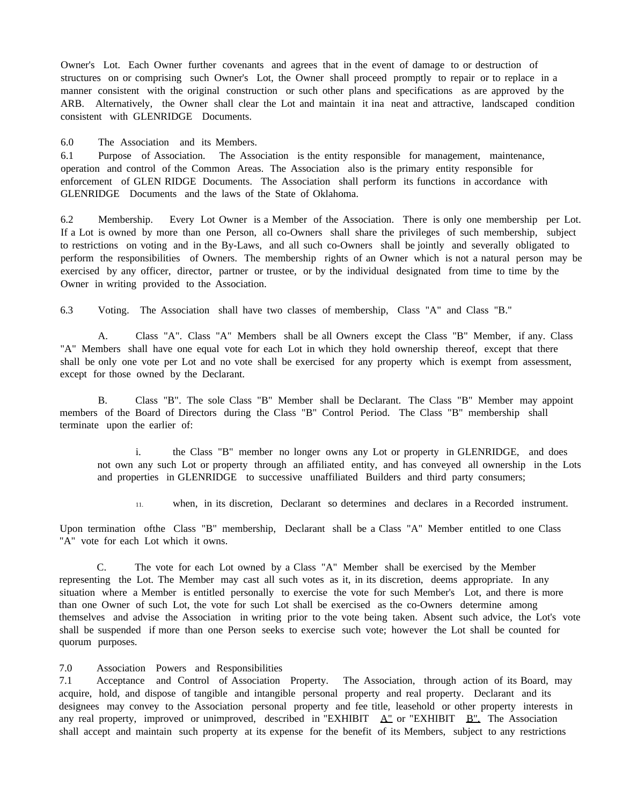Owner's Lot. Each Owner further covenants and agrees that in the event of damage to or destruction of structures on or comprising such Owner's Lot, the Owner shall proceed promptly to repair or to replace in a manner consistent with the original construction or such other plans and specifications as are approved by the ARB. Alternatively, the Owner shall clear the Lot and maintain it ina neat and attractive, landscaped condition consistent with GLENRIDGE Documents.

6.0 The Association and its Members.

6.1 Purpose of Association. The Association is the entity responsible for management, maintenance, operation and control of the Common Areas. The Association also is the primary entity responsible for enforcement of GLEN RIDGE Documents. The Association shall perform its functions in accordance with GLENRIDGE Documents and the laws of the State of Oklahoma.

6.2 Membership. Every Lot Owner is a Member of the Association. There is only one membership per Lot. If a Lot is owned by more than one Person, all co-Owners shall share the privileges of such membership, subject to restrictions on voting and in the By-Laws, and all such co-Owners shall be jointly and severally obligated to perform the responsibilities of Owners. The membership rights of an Owner which is not a natural person may be exercised by any officer, director, partner or trustee, or by the individual designated from time to time by the Owner in writing provided to the Association.

6.3 Voting. The Association shall have two classes of membership, Class "A" and Class "B."

A. Class "A". Class "A" Members shall be all Owners except the Class "B" Member, if any. Class "A" Members shall have one equal vote for each Lot in which they hold ownership thereof, except that there shall be only one vote per Lot and no vote shall be exercised for any property which is exempt from assessment, except for those owned by the Declarant.

B. Class "B". The sole Class "B" Member shall be Declarant. The Class "B" Member may appoint members of the Board of Directors during the Class "B" Control Period. The Class "B" membership shall terminate upon the earlier of:

i. the Class "B" member no longer owns any Lot or property in GLENRIDGE, and does not own any such Lot or property through an affiliated entity, and has conveyed all ownership in the Lots and properties in GLENRIDGE to successive unaffiliated Builders and third party consumers;

11. when, in its discretion, Declarant so determines and declares in a Recorded instrument.

Upon termination ofthe Class "B" membership, Declarant shall be a Class "A" Member entitled to one Class "A" vote for each Lot which it owns.

C. The vote for each Lot owned by a Class "A" Member shall be exercised by the Member representing the Lot. The Member may cast all such votes as it, in its discretion, deems appropriate. In any situation where a Member is entitled personally to exercise the vote for such Member's Lot, and there is more than one Owner of such Lot, the vote for such Lot shall be exercised as the co-Owners determine among themselves and advise the Association in writing prior to the vote being taken. Absent such advice, the Lot's vote shall be suspended if more than one Person seeks to exercise such vote; however the Lot shall be counted for quorum purposes.

7.0 Association Powers and Responsibilities

7.1 Acceptance and Control of Association Property. The Association, through action of its Board, may acquire, hold, and dispose of tangible and intangible personal property and real property. Declarant and its designees may convey to the Association personal property and fee title, leasehold or other property interests in any real property, improved or unimproved, described in "EXHIBIT  $\Delta$ " or "EXHIBIT  $B$ ". The Association shall accept and maintain such property at its expense for the benefit of its Members, subject to any restrictions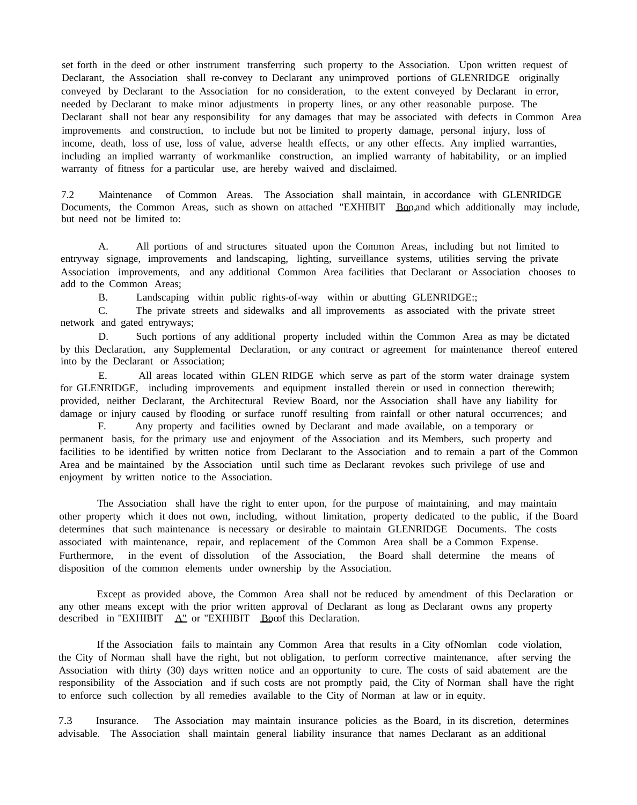set forth in the deed or other instrument transferring such property to the Association. Upon written request of Declarant, the Association shall re-convey to Declarant any unimproved portions of GLENRIDGE originally conveyed by Declarant to the Association for no consideration, to the extent conveyed by Declarant in error, needed by Declarant to make minor adjustments in property lines, or any other reasonable purpose. The Declarant shall not bear any responsibility for any damages that may be associated with defects in Common Area improvements and construction, to include but not be limited to property damage, personal injury, loss of income, death, loss of use, loss of value, adverse health effects, or any other effects. Any implied warranties, including an implied warranty of workmanlike construction, an implied warranty of habitability, or an implied warranty of fitness for a particular use, are hereby waived and disclaimed.

7.2 Maintenance of Common Areas. The Association shall maintain, in accordance with GLENRIDGE Documents, the Common Areas, such as shown on attached "EXHIBIT Boo,and which additionally may include, but need not be limited to:

A. All portions of and structures situated upon the Common Areas, including but not limited to entryway signage, improvements and landscaping, lighting, surveillance systems, utilities serving the private Association improvements, and any additional Common Area facilities that Declarant or Association chooses to add to the Common Areas;

B. Landscaping within public rights-of-way within or abutting GLENRIDGE:;

C. The private streets and sidewalks and all improvements as associated with the private street network and gated entryways;

D. Such portions of any additional property included within the Common Area as may be dictated by this Declaration, any Supplemental Declaration, or any contract or agreement for maintenance thereof entered into by the Declarant or Association;

E. All areas located within GLEN RIDGE which serve as part of the storm water drainage system for GLENRIDGE, including improvements and equipment installed therein or used in connection therewith; provided, neither Declarant, the Architectural Review Board, nor the Association shall have any liability for damage or injury caused by flooding or surface runoff resulting from rainfall or other natural occurrences; and

F. Any property and facilities owned by Declarant and made available, on a temporary or permanent basis, for the primary use and enjoyment of the Association and its Members, such property and facilities to be identified by written notice from Declarant to the Association and to remain a part of the Common Area and be maintained by the Association until such time as Declarant revokes such privilege of use and enjoyment by written notice to the Association.

The Association shall have the right to enter upon, for the purpose of maintaining, and may maintain other property which it does not own, including, without limitation, property dedicated to the public, if the Board determines that such maintenance is necessary or desirable to maintain GLENRIDGE Documents. The costs associated with maintenance, repair, and replacement of the Common Area shall be a Common Expense. Furthermore, in the event of dissolution of the Association, the Board shall determine the means of disposition of the common elements under ownership by the Association.

Except as provided above, the Common Area shall not be reduced by amendment of this Declaration or any other means except with the prior written approval of Declarant as long as Declarant owns any property described in "EXHIBIT  $\Delta$ " or "EXHIBIT Booof this Declaration.

If the Association fails to maintain any Common Area that results in a City ofNomlan code violation, the City of Norman shall have the right, but not obligation, to perform corrective maintenance, after serving the Association with thirty (30) days written notice and an opportunity to cure. The costs of said abatement are the responsibility of the Association and if such costs are not promptly paid, the City of Norman shall have the right to enforce such collection by all remedies available to the City of Norman at law or in equity.

7.3 Insurance. The Association may maintain insurance policies as the Board, in its discretion, determines advisable. The Association shall maintain general liability insurance that names Declarant as an additional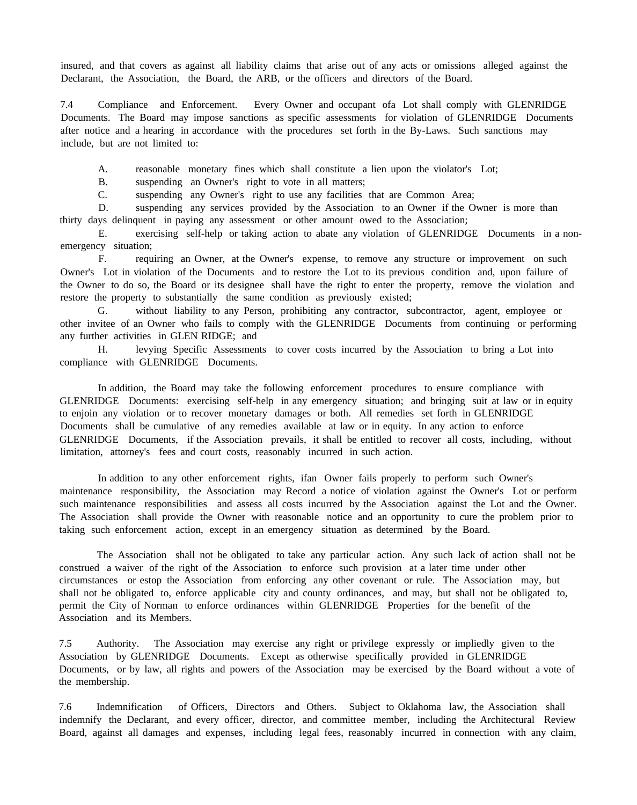insured, and that covers as against all liability claims that arise out of any acts or omissions alleged against the Declarant, the Association, the Board, the ARB, or the officers and directors of the Board.

7.4 Compliance and Enforcement. Every Owner and occupant ofa Lot shall comply with GLENRIDGE Documents. The Board may impose sanctions as specific assessments for violation of GLENRIDGE Documents after notice and a hearing in accordance with the procedures set forth in the By-Laws. Such sanctions may include, but are not limited to:

A. reasonable monetary fines which shall constitute a lien upon the violator's Lot;

B. suspending an Owner's right to vote in all matters;

C. suspending any Owner's right to use any facilities that are Common Area;

D. suspending any services provided by the Association to an Owner if the Owner is more than thirty days delinquent in paying any assessment or other amount owed to the Association;

E. exercising self-help or taking action to abate any violation of GLENRIDGE Documents in a nonemergency situation;

F. requiring an Owner, at the Owner's expense, to remove any structure or improvement on such Owner's Lot in violation of the Documents and to restore the Lot to its previous condition and, upon failure of the Owner to do so, the Board or its designee shall have the right to enter the property, remove the violation and restore the property to substantially the same condition as previously existed;

G. without liability to any Person, prohibiting any contractor, subcontractor, agent, employee or other invitee of an Owner who fails to comply with the GLENRIDGE Documents from continuing or performing any further activities in GLEN RIDGE; and

H. levying Specific Assessments to cover costs incurred by the Association to bring a Lot into compliance with GLENRIDGE Documents.

In addition, the Board may take the following enforcement procedures to ensure compliance with GLENRIDGE Documents: exercising self-help in any emergency situation; and bringing suit at law or in equity to enjoin any violation or to recover monetary damages or both. All remedies set forth in GLENRIDGE Documents shall be cumulative of any remedies available at law or in equity. In any action to enforce GLENRIDGE Documents, if the Association prevails, it shall be entitled to recover all costs, including, without limitation, attorney's fees and court costs, reasonably incurred in such action.

In addition to any other enforcement rights, ifan Owner fails properly to perform such Owner's maintenance responsibility, the Association may Record a notice of violation against the Owner's Lot or perform such maintenance responsibilities and assess all costs incurred by the Association against the Lot and the Owner. The Association shall provide the Owner with reasonable notice and an opportunity to cure the problem prior to taking such enforcement action, except in an emergency situation as determined by the Board.

The Association shall not be obligated to take any particular action. Any such lack of action shall not be construed a waiver of the right of the Association to enforce such provision at a later time under other circumstances or estop the Association from enforcing any other covenant or rule. The Association may, but shall not be obligated to, enforce applicable city and county ordinances, and may, but shall not be obligated to, permit the City of Norman to enforce ordinances within GLENRIDGE Properties for the benefit of the Association and its Members.

7.5 Authority. The Association may exercise any right or privilege expressly or impliedly given to the Association by GLENRIDGE Documents. Except as otherwise specifically provided in GLENRIDGE Documents, or by law, all rights and powers of the Association may be exercised by the Board without a vote of the membership.

7.6 Indemnification of Officers, Directors and Others. Subject to Oklahoma law, the Association shall indemnify the Declarant, and every officer, director, and committee member, including the Architectural Review Board, against all damages and expenses, including legal fees, reasonably incurred in connection with any claim,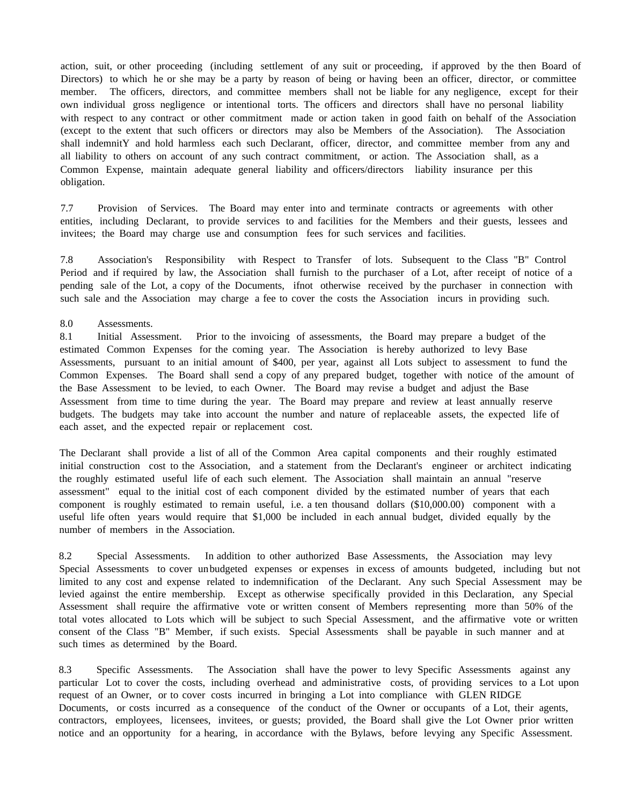action, suit, or other proceeding (including settlement of any suit or proceeding, if approved by the then Board of Directors) to which he or she may be a party by reason of being or having been an officer, director, or committee member. The officers, directors, and committee members shall not be liable for any negligence, except for their own individual gross negligence or intentional torts. The officers and directors shall have no personal liability with respect to any contract or other commitment made or action taken in good faith on behalf of the Association (except to the extent that such officers or directors may also be Members of the Association). The Association shall indemnitY and hold harmless each such Declarant, officer, director, and committee member from any and all liability to others on account of any such contract commitment, or action. The Association shall, as a Common Expense, maintain adequate general liability and officers/directors liability insurance per this obligation.

7.7 Provision of Services. The Board may enter into and terminate contracts or agreements with other entities, including Declarant, to provide services to and facilities for the Members and their guests, lessees and invitees; the Board may charge use and consumption fees for such services and facilities.

7.8 Association's Responsibility with Respect to Transfer of lots. Subsequent to the Class "B" Control Period and if required by law, the Association shall furnish to the purchaser of a Lot, after receipt of notice of a pending sale of the Lot, a copy of the Documents, ifnot otherwise received by the purchaser in connection with such sale and the Association may charge a fee to cover the costs the Association incurs in providing such.

#### 8.0 Assessments.

8.1 Initial Assessment. Prior to the invoicing of assessments, the Board may prepare a budget of the estimated Common Expenses for the coming year. The Association is hereby authorized to levy Base Assessments, pursuant to an initial amount of \$400, per year, against all Lots subject to assessment to fund the Common Expenses. The Board shall send a copy of any prepared budget, together with notice of the amount of the Base Assessment to be levied, to each Owner. The Board may revise a budget and adjust the Base Assessment from time to time during the year. The Board may prepare and review at least annually reserve budgets. The budgets may take into account the number and nature of replaceable assets, the expected life of each asset, and the expected repair or replacement cost.

The Declarant shall provide a list of all of the Common Area capital components and their roughly estimated initial construction cost to the Association, and a statement from the Declarant's engineer or architect indicating the roughly estimated useful life of each such element. The Association shall maintain an annual "reserve assessment" equal to the initial cost of each component divided by the estimated number of years that each component is roughly estimated to remain useful, i.e. a ten thousand dollars (\$10,000.00) component with a useful life often years would require that \$1,000 be included in each annual budget, divided equally by the number of members in the Association.

8.2 Special Assessments. In addition to other authorized Base Assessments, the Association may levy Special Assessments to cover un budgeted expenses or expenses in excess of amounts budgeted, including but not limited to any cost and expense related to indemnification of the Declarant. Any such Special Assessment may be levied against the entire membership. Except as otherwise specifically provided in this Declaration, any Special Assessment shall require the affirmative vote or written consent of Members representing more than 50% of the total votes allocated to Lots which will be subject to such Special Assessment, and the affirmative vote or written consent of the Class "B" Member, if such exists. Special Assessments shall be payable in such manner and at such times as determined by the Board.

8.3 Specific Assessments. The Association shall have the power to levy Specific Assessments against any particular Lot to cover the costs, including overhead and administrative costs, of providing services to a Lot upon request of an Owner, or to cover costs incurred in bringing a Lot into compliance with GLEN RIDGE Documents, or costs incurred as a consequence of the conduct of the Owner or occupants of a Lot, their agents, contractors, employees, licensees, invitees, or guests; provided, the Board shall give the Lot Owner prior written notice and an opportunity for a hearing, in accordance with the Bylaws, before levying any Specific Assessment.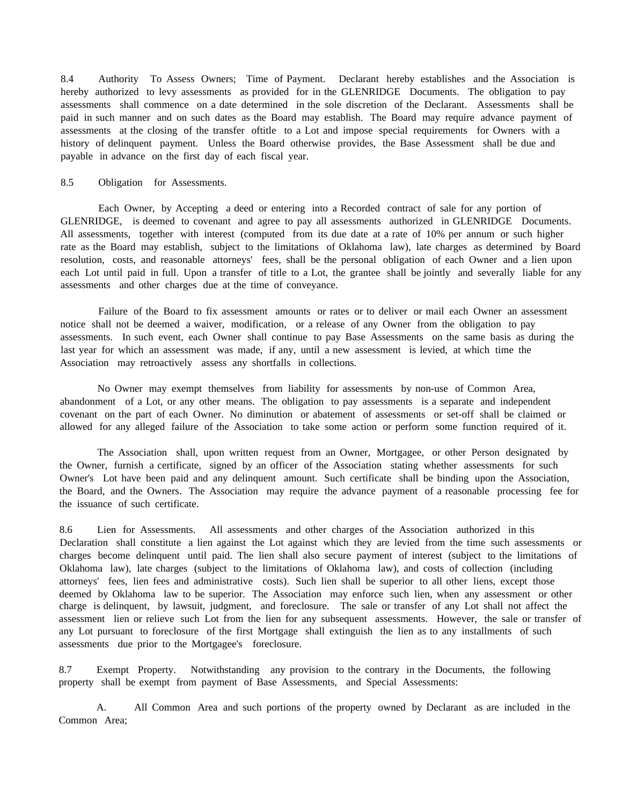8.4 Authority To Assess Owners; Time of Payment. Declarant hereby establishes and the Association is hereby authorized to levy assessments as provided for in the GLENRIDGE Documents. The obligation to pay assessments shall commence on a date determined in the sole discretion of the Declarant. Assessments shall be paid in such manner and on such dates as the Board may establish. The Board may require advance payment of assessments at the closing of the transfer oftitle to a Lot and impose special requirements for Owners with a history of delinquent payment. Unless the Board otherwise provides, the Base Assessment shall be due and payable in advance on the first day of each fiscal year.

#### 8.5 Obligation for Assessments.

Each Owner, by Accepting a deed or entering into a Recorded contract of sale for any portion of GLENRIDGE, is deemed to covenant and agree to pay all assessments authorized in GLENRIDGE Documents. All assessments, together with interest (computed from its due date at a rate of 10% per annum or such higher rate as the Board may establish, subject to the limitations of Oklahoma law), late charges as determined by Board resolution, costs, and reasonable attorneys' fees, shall be the personal obligation of each Owner and a lien upon each Lot until paid in full. Upon a transfer of title to a Lot, the grantee shall be jointly and severally liable for any assessments and other charges due at the time of conveyance.

Failure of the Board to fix assessment amounts or rates or to deliver or mail each Owner an assessment notice shall not be deemed a waiver, modification, or a release of any Owner from the obligation to pay assessments. In such event, each Owner shall continue to pay Base Assessments on the same basis as during the last year for which an assessment was made, if any, until a new assessment is levied, at which time the Association may retroactively assess any shortfalls in collections.

No Owner may exempt themselves from liability for assessments by non-use of Common Area, abandonment of a Lot, or any other means. The obligation to pay assessments is a separate and independent covenant on the part of each Owner. No diminution or abatement of assessments or set-off shall be claimed or allowed for any alleged failure of the Association to take some action or perform some function required of it.

The Association shall, upon written request from an Owner, Mortgagee, or other Person designated by the Owner, furnish a certificate, signed by an officer of the Association stating whether assessments for such Owner's Lot have been paid and any delinquent amount. Such certificate shall be binding upon the Association, the Board, and the Owners. The Association may require the advance payment of a reasonable processing fee for the issuance of such certificate.

8.6 Lien for Assessments. All assessments and other charges of the Association authorized in this Declaration shall constitute a lien against the Lot against which they are levied from the time such assessments or charges become delinquent until paid. The lien shall also secure payment of interest (subject to the limitations of Oklahoma law), late charges (subject to the limitations of Oklahoma law), and costs of collection (including attorneys' fees, lien fees and administrative costs). Such lien shall be superior to all other liens, except those deemed by Oklahoma law to be superior. The Association may enforce such lien, when any assessment or other charge is delinquent, by lawsuit, judgment, and foreclosure. The sale or transfer of any Lot shall not affect the assessment lien or relieve such Lot from the lien for any subsequent assessments. However, the sale or transfer of any Lot pursuant to foreclosure of the first Mortgage shall extinguish the lien as to any installments of such assessments due prior to the Mortgagee's foreclosure.

8.7 Exempt Property. Notwithstanding any provision to the contrary in the Documents, the following property shall be exempt from payment of Base Assessments, and Special Assessments:

A. All Common Area and such portions of the property owned by Declarant as are included in the Common Area;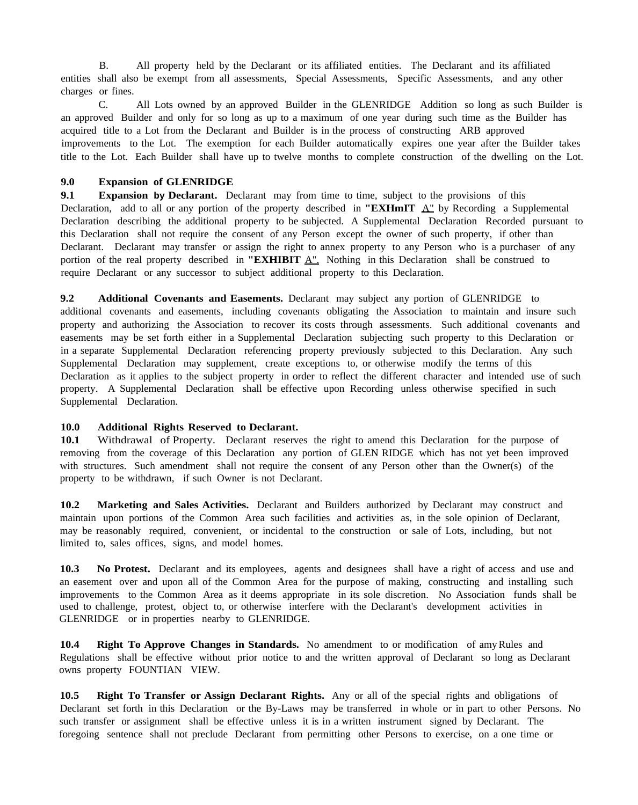B. All property held by the Declarant or its affiliated entities. The Declarant and its affiliated entities shall also be exempt from all assessments, Special Assessments, Specific Assessments, and any other charges or fines.

C. All Lots owned by an approved Builder in the GLENRIDGE Addition so long as such Builder is an approved Builder and only for so long as up to a maximum of one year during such time as the Builder has acquired title to a Lot from the Declarant and Builder is in the process of constructing ARB approved improvements to the Lot. The exemption for each Builder automatically expires one year after the Builder takes title to the Lot. Each Builder shall have up to twelve months to complete construction of the dwelling on the Lot.

## **9.0 Expansion of GLENRIDGE**

**9.1 Expansion by Declarant.** Declarant may from time to time, subject to the provisions of this Declaration, add to all or any portion of the property described in **"EXHmIT** A" by Recording a Supplemental Declaration describing the additional property to be subjected. A Supplemental Declaration Recorded pursuant to this Declaration shall not require the consent of any Person except the owner of such property, if other than Declarant. Declarant may transfer or assign the right to annex property to any Person who is a purchaser of any portion of the real property described in **"EXHIBIT** A". Nothing in this Declaration shall be construed to require Declarant or any successor to subject additional property to this Declaration.

**9.2 Additional Covenants and Easements.** Declarant may subject any portion of GLENRIDGE to additional covenants and easements, including covenants obligating the Association to maintain and insure such property and authorizing the Association to recover its costs through assessments. Such additional covenants and easements may be set forth either in a Supplemental Declaration subjecting such property to this Declaration or in a separate Supplemental Declaration referencing property previously subjected to this Declaration. Any such Supplemental Declaration may supplement, create exceptions to, or otherwise modify the terms of this Declaration as it applies to the subject property in order to reflect the different character and intended use of such property. A Supplemental Declaration shall be effective upon Recording unless otherwise specified in such Supplemental Declaration.

## **10.0 Additional Rights Reserved to Declarant.**

**10.1** Withdrawal of Property. Declarant reserves the right to amend this Declaration for the purpose of removing from the coverage of this Declaration any portion of GLEN RIDGE which has not yet been improved with structures. Such amendment shall not require the consent of any Person other than the Owner(s) of the property to be withdrawn, if such Owner is not Declarant.

**10.2 Marketing and Sales Activities.** Declarant and Builders authorized by Declarant may construct and maintain upon portions of the Common Area such facilities and activities as, in the sole opinion of Declarant, may be reasonably required, convenient, or incidental to the construction or sale of Lots, including, but not limited to, sales offices, signs, and model homes.

**10.3 No Protest.** Declarant and its employees, agents and designees shall have a right of access and use and an easement over and upon all of the Common Area for the purpose of making, constructing and installing such improvements to the Common Area as it deems appropriate in its sole discretion. No Association funds shall be used to challenge, protest, object to, or otherwise interfere with the Declarant's development activities in GLENRIDGE or in properties nearby to GLENRIDGE.

**10.4 Right To Approve Changes in Standards.** No amendment to or modification of amy Rules and Regulations shall be effective without prior notice to and the written approval of Declarant so long as Declarant owns property FOUNTIAN VIEW.

**10.5 Right To Transfer or Assign Declarant Rights.** Any or all of the special rights and obligations of Declarant set forth in this Declaration or the By-Laws may be transferred in whole or in part to other Persons. No such transfer or assignment shall be effective unless it is in a written instrument signed by Declarant. The foregoing sentence shall not preclude Declarant from permitting other Persons to exercise, on a one time or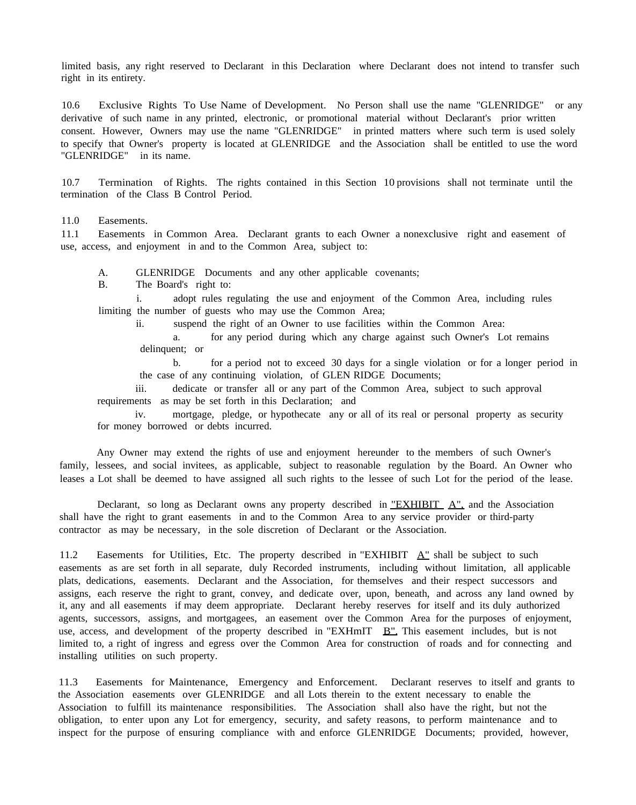limited basis, any right reserved to Declarant in this Declaration where Declarant does not intend to transfer such right in its entirety.

10.6 Exclusive Rights To Use Name of Development. No Person shall use the name "GLENRIDGE" or any derivative of such name in any printed, electronic, or promotional material without Declarant's prior written consent. However, Owners may use the name "GLENRIDGE" in printed matters where such term is used solely to specify that Owner's property is located at GLENRIDGE and the Association shall be entitled to use the word "GLENRIDGE" in its name.

10.7 Termination of Rights. The rights contained in this Section 10 provisions shall not terminate until the termination of the Class B Control Period.

11.0 Easements.

11.1 Easements in Common Area. Declarant grants to each Owner a nonexclusive right and easement of use, access, and enjoyment in and to the Common Area, subject to:

A. GLENRIDGE Documents and any other applicable covenants;

B. The Board's right to:

i. adopt rules regulating the use and enjoyment of the Common Area, including rules limiting the number of guests who may use the Common Area;

ii. suspend the right of an Owner to use facilities within the Common Area:

a. for any period during which any charge against such Owner's Lot remains delinquent; or

b. for a period not to exceed 30 days for a single violation or for a longer period in the case of any continuing violation, of GLEN RIDGE Documents;

iii. dedicate or transfer all or any part of the Common Area, subject to such approval requirements as may be set forth in this Declaration; and

iv. mortgage, pledge, or hypothecate any or all of its real or personal property as security for money borrowed or debts incurred.

Any Owner may extend the rights of use and enjoyment hereunder to the members of such Owner's family, lessees, and social invitees, as applicable, subject to reasonable regulation by the Board. An Owner who leases a Lot shall be deemed to have assigned all such rights to the lessee of such Lot for the period of the lease.

Declarant, so long as Declarant owns any property described in "EXHIBIT  $A$ ", and the Association shall have the right to grant easements in and to the Common Area to any service provider or third-party contractor as may be necessary, in the sole discretion of Declarant or the Association.

11.2 Easements for Utilities, Etc. The property described in "EXHIBIT  $A$ " shall be subject to such easements as are set forth in all separate, duly Recorded instruments, including without limitation, all applicable plats, dedications, easements. Declarant and the Association, for themselves and their respect successors and assigns, each reserve the right to grant, convey, and dedicate over, upon, beneath, and across any land owned by it, any and all easements if may deem appropriate. Declarant hereby reserves for itself and its duly authorized agents, successors, assigns, and mortgagees, an easement over the Common Area for the purposes of enjoyment, use, access, and development of the property described in "EXHmIT B". This easement includes, but is not limited to, a right of ingress and egress over the Common Area for construction of roads and for connecting and installing utilities on such property.

11.3 Easements for Maintenance, Emergency and Enforcement. Declarant reserves to itself and grants to the Association easements over GLENRIDGE and all Lots therein to the extent necessary to enable the Association to fulfill its maintenance responsibilities. The Association shall also have the right, but not the obligation, to enter upon any Lot for emergency, security, and safety reasons, to perform maintenance and to inspect for the purpose of ensuring compliance with and enforce GLENRIDGE Documents; provided, however,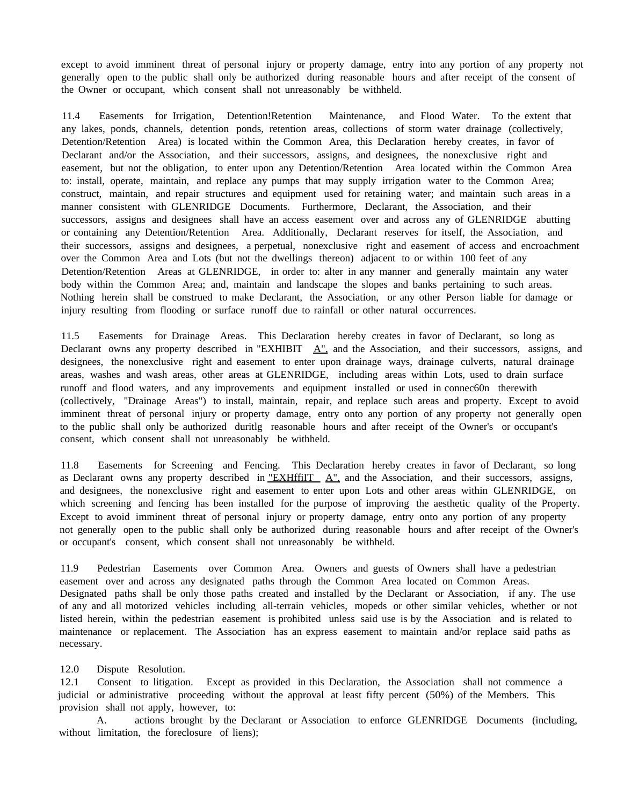except to avoid imminent threat of personal injury or property damage, entry into any portion of any property not generally open to the public shall only be authorized during reasonable hours and after receipt of the consent of the Owner or occupant, which consent shall not unreasonably be withheld.

11.4 Easements for Irrigation, Detention!Retention Maintenance, and Flood Water. To the extent that any lakes, ponds, channels, detention ponds, retention areas, collections of storm water drainage (collectively, Detention/Retention Area) is located within the Common Area, this Declaration hereby creates, in favor of Declarant and/or the Association, and their successors, assigns, and designees, the nonexclusive right and easement, but not the obligation, to enter upon any Detention/Retention Area located within the Common Area to: install, operate, maintain, and replace any pumps that may supply irrigation water to the Common Area; construct, maintain, and repair structures and equipment used for retaining water; and maintain such areas in a manner consistent with GLENRIDGE Documents. Furthermore, Declarant, the Association, and their successors, assigns and designees shall have an access easement over and across any of GLENRIDGE abutting or containing any Detention/Retention Area. Additionally, Declarant reserves for itself, the Association, and their successors, assigns and designees, a perpetual, nonexclusive right and easement of access and encroachment over the Common Area and Lots (but not the dwellings thereon) adjacent to or within 100 feet of any Detention/Retention Areas at GLENRIDGE, in order to: alter in any manner and generally maintain any water body within the Common Area; and, maintain and landscape the slopes and banks pertaining to such areas. Nothing herein shall be construed to make Declarant, the Association, or any other Person liable for damage or injury resulting from flooding or surface runoff due to rainfall or other natural occurrences.

11.5 Easements for Drainage Areas. This Declaration hereby creates in favor of Declarant, so long as Declarant owns any property described in "EXHIBIT  $\Delta$ ", and the Association, and their successors, assigns, and designees, the nonexclusive right and easement to enter upon drainage ways, drainage culverts, natural drainage areas, washes and wash areas, other areas at GLENRIDGE, including areas within Lots, used to drain surface runoff and flood waters, and any improvements and equipment installed or used in connec60n therewith (collectively, "Drainage Areas") to install, maintain, repair, and replace such areas and property. Except to avoid imminent threat of personal injury or property damage, entry onto any portion of any property not generally open to the public shall only be authorized duritlg reasonable hours and after receipt of the Owner's or occupant's consent, which consent shall not unreasonably be withheld.

11.8 Easements for Screening and Fencing. This Declaration hereby creates in favor of Declarant, so long as Declarant owns any property described in "EXHffiIT  $\Delta$ ", and the Association, and their successors, assigns, and designees, the nonexclusive right and easement to enter upon Lots and other areas within GLENRIDGE, on which screening and fencing has been installed for the purpose of improving the aesthetic quality of the Property. Except to avoid imminent threat of personal injury or property damage, entry onto any portion of any property not generally open to the public shall only be authorized during reasonable hours and after receipt of the Owner's or occupant's consent, which consent shall not unreasonably be withheld.

11.9 Pedestrian Easements over Common Area. Owners and guests of Owners shall have a pedestrian easement over and across any designated paths through the Common Area located on Common Areas. Designated paths shall be only those paths created and installed by the Declarant or Association, if any. The use of any and all motorized vehicles including all-terrain vehicles, mopeds or other similar vehicles, whether or not listed herein, within the pedestrian easement is prohibited unless said use is by the Association and is related to maintenance or replacement. The Association has an express easement to maintain and/or replace said paths as necessary.

## 12.0 Dispute Resolution.

12.1 Consent to litigation. Except as provided in this Declaration, the Association shall not commence a judicial or administrative proceeding without the approval at least fifty percent (50%) of the Members. This provision shall not apply, however, to:

A. actions brought by the Declarant or Association to enforce GLENRIDGE Documents (including, without limitation, the foreclosure of liens);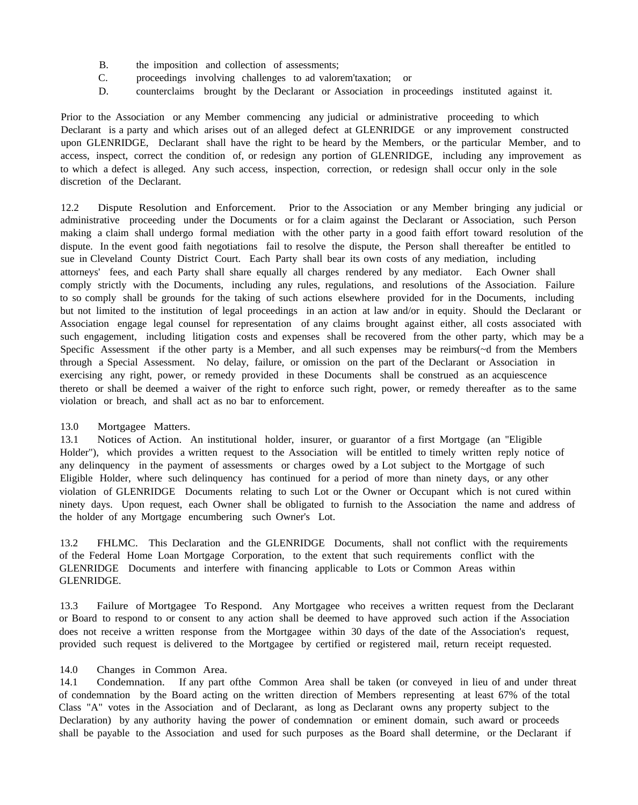- B. the imposition and collection of assessments;
- C. proceedings involving challenges to ad valorem'taxation; or
- D. counterclaims brought by the Declarant or Association in proceedings instituted against it.

Prior to the Association or any Member commencing any judicial or administrative proceeding to which Declarant is a party and which arises out of an alleged defect at GLENRIDGE or any improvement constructed upon GLENRIDGE, Declarant shall have the right to be heard by the Members, or the particular Member, and to access, inspect, correct the condition of, or redesign any portion of GLENRIDGE, including any improvement as to which a defect is alleged. Any such access, inspection, correction, or redesign shall occur only in the sole discretion of the Declarant.

12.2 Dispute Resolution and Enforcement. Prior to the Association or any Member bringing any judicial or administrative proceeding under the Documents or for a claim against the Declarant or Association, such Person making a claim shall undergo formal mediation with the other party in a good faith effort toward resolution of the dispute. In the event good faith negotiations fail to resolve the dispute, the Person shall thereafter be entitled to sue in Cleveland County District Court. Each Party shall bear its own costs of any mediation, including attorneys' fees, and each Party shall share equally all charges rendered by any mediator. Each Owner shall comply strictly with the Documents, including any rules, regulations, and resolutions of the Association. Failure to so comply shall be grounds for the taking of such actions elsewhere provided for in the Documents, including but not limited to the institution of legal proceedings in an action at law and/or in equity. Should the Declarant or Association engage legal counsel for representation of any claims brought against either, all costs associated with such engagement, including litigation costs and expenses shall be recovered from the other party, which may be a Specific Assessment if the other party is a Member, and all such expenses may be reimburs(~d from the Members through a Special Assessment. No delay, failure, or omission on the part of the Declarant or Association in exercising any right, power, or remedy provided in these Documents shall be construed as an acquiescence thereto or shall be deemed a waiver of the right to enforce such right, power, or remedy thereafter as to the same violation or breach, and shall act as no bar to enforcement.

## 13.0 Mortgagee Matters.

13.1 Notices of Action. An institutional holder, insurer, or guarantor of a first Mortgage (an "Eligible Holder"), which provides a written request to the Association will be entitled to timely written reply notice of any delinquency in the payment of assessments or charges owed by a Lot subject to the Mortgage of such Eligible Holder, where such delinquency has continued for a period of more than ninety days, or any other violation of GLENRIDGE Documents relating to such Lot or the Owner or Occupant which is not cured within ninety days. Upon request, each Owner shall be obligated to furnish to the Association the name and address of the holder of any Mortgage encumbering such Owner's Lot.

13.2 FHLMC. This Declaration and the GLENRIDGE Documents, shall not conflict with the requirements of the Federal Home Loan Mortgage Corporation, to the extent that such requirements conflict with the GLENRIDGE Documents and interfere with financing applicable to Lots or Common Areas within GLENRIDGE.

13.3 Failure of Mortgagee To Respond. Any Mortgagee who receives a written request from the Declarant or Board to respond to or consent to any action shall be deemed to have approved such action if the Association does not receive a written response from the Mortgagee within 30 days of the date of the Association's request, provided such request is delivered to the Mortgagee by certified or registered mail, return receipt requested.

## 14.0 Changes in Common Area.

14.1 Condemnation. If any part ofthe Common Area shall be taken (or conveyed in lieu of and under threat of condemnation by the Board acting on the written direction of Members representing at least 67% of the total Class "A" votes in the Association and of Declarant, as long as Declarant owns any property subject to the Declaration) by any authority having the power of condemnation or eminent domain, such award or proceeds shall be payable to the Association and used for such purposes as the Board shall determine, or the Declarant if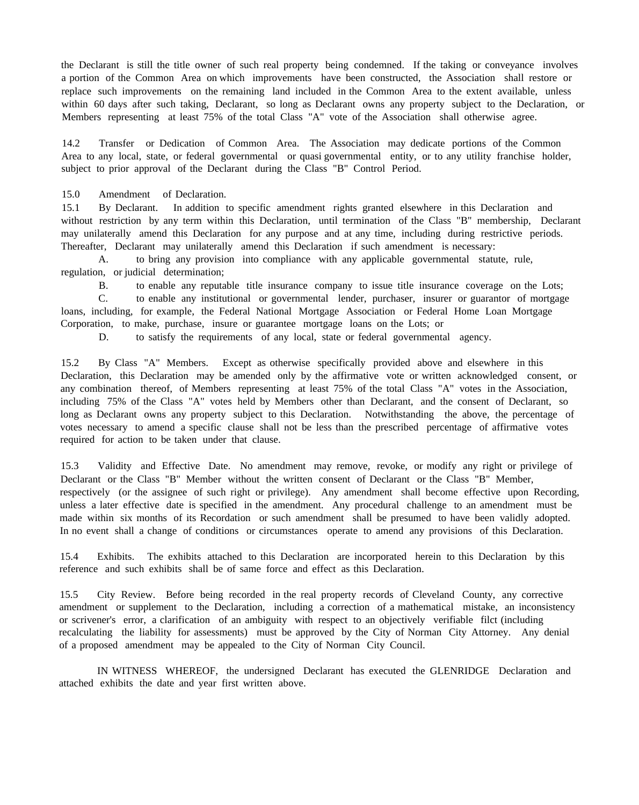the Declarant is still the title owner of such real property being condemned. If the taking or conveyance involves a portion of the Common Area on which improvements have been constructed, the Association shall restore or replace such improvements on the remaining land included in the Common Area to the extent available, unless within 60 days after such taking, Declarant, so long as Declarant owns any property subject to the Declaration, or Members representing at least 75% of the total Class "A" vote of the Association shall otherwise agree.

14.2 Transfer or Dedication of Common Area. The Association may dedicate portions of the Common Area to any local, state, or federal governmental or quasi governmental entity, or to any utility franchise holder, subject to prior approval of the Declarant during the Class "B" Control Period.

15.0 Amendment of Declaration.

15.1 By Declarant. In addition to specific amendment rights granted elsewhere in this Declaration and without restriction by any term within this Declaration, until termination of the Class "B" membership, Declarant may unilaterally amend this Declaration for any purpose and at any time, including during restrictive periods. Thereafter, Declarant may unilaterally amend this Declaration if such amendment is necessary:

A. to bring any provision into compliance with any applicable governmental statute, rule, regulation, or judicial determination;

B. to enable any reputable title insurance company to issue title insurance coverage on the Lots;

C. to enable any institutional or governmental lender, purchaser, insurer or guarantor of mortgage loans, including, for example, the Federal National Mortgage Association or Federal Home Loan Mortgage Corporation, to make, purchase, insure or guarantee mortgage loans on the Lots; or

D. to satisfy the requirements of any local, state or federal governmental agency.

15.2 By Class "A" Members. Except as otherwise specifically provided above and elsewhere in this Declaration, this Declaration may be amended only by the affirmative vote or written acknowledged consent, or any combination thereof, of Members representing at least 75% of the total Class "A" votes in the Association, including 75% of the Class "A" votes held by Members other than Declarant, and the consent of Declarant, so long as Declarant owns any property subject to this Declaration. Notwithstanding the above, the percentage of votes necessary to amend a specific clause shall not be less than the prescribed percentage of affirmative votes required for action to be taken under that clause.

15.3 Validity and Effective Date. No amendment may remove, revoke, or modify any right or privilege of Declarant or the Class "B" Member without the written consent of Declarant or the Class "B" Member, respectively (or the assignee of such right or privilege). Any amendment shall become effective upon Recording, unless a later effective date is specified in the amendment. Any procedural challenge to an amendment must be made within six months of its Recordation or such amendment shall be presumed to have been validly adopted. In no event shall a change of conditions or circumstances operate to amend any provisions of this Declaration.

15.4 Exhibits. The exhibits attached to this Declaration are incorporated herein to this Declaration by this reference and such exhibits shall be of same force and effect as this Declaration.

15.5 City Review. Before being recorded in the real property records of Cleveland County, any corrective amendment or supplement to the Declaration, including a correction of a mathematical mistake, an inconsistency or scrivener's error, a clarification of an ambiguity with respect to an objectively verifiable filct (including recalculating the liability for assessments) must be approved by the City of Norman City Attorney. Any denial of a proposed amendment may be appealed to the City of Norman City Council.

IN WITNESS WHEREOF, the undersigned Declarant has executed the GLENRIDGE Declaration and attached exhibits the date and year first written above.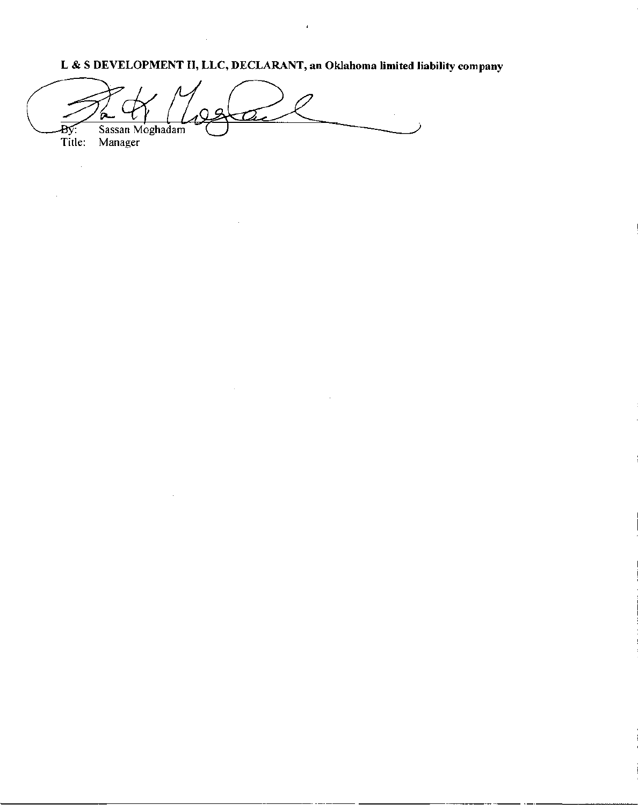L & S **DEVELOPMENT II, LLC, DECLARANT, an Oklahoma limited liability company**

 $\frac{1}{R}$  of Magaze Sassan Moghadam **By:** Sassan M<br>Title: Manager

 $\hat{\mathcal{A}}$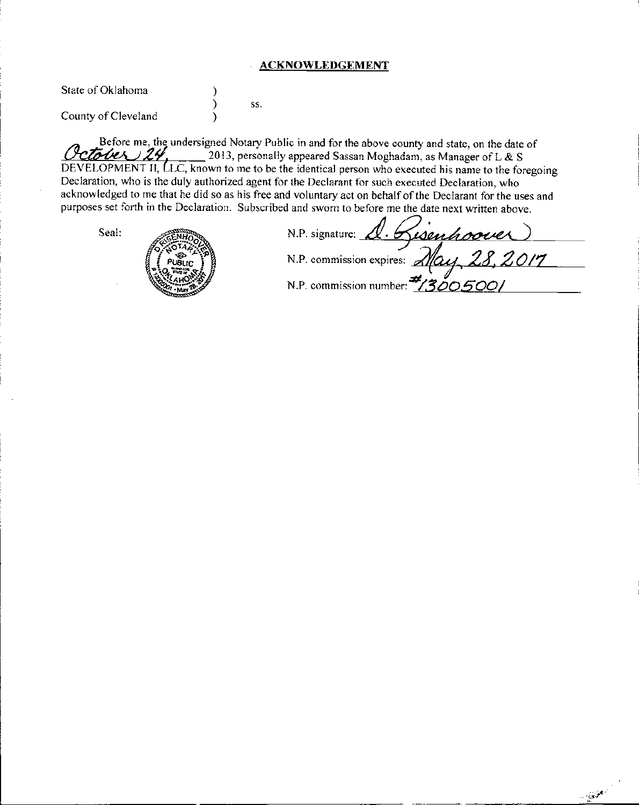## **ACKNOWLEDGEMENT**

State of Oklahoma County of Cleveland ) ) ) ss.

Before me, the undersigned Notary Public in and for the above county and state, on the date of  $-$ **CLOUCX**  $2\mathcal{H}$ ,  $-$  2013, personally appeared Sassan Moghadam, as Manager of L & S DEVELOPMENT II, LLC, known to me to be the identical person who executed his name to the foregoing Declaration, who is the duly authorized agent for the Declarant for such executed Declaration, who acknowledged to me that he did so as his free and voluntary act on behalf of the Declarant for the uses and



|       | purposes set forth in the Declaration. Subscribed and sworn to before me the date next written above. |
|-------|-------------------------------------------------------------------------------------------------------|
| Seal: | N.P. signature: 1. Risenhoover                                                                        |
|       | N.P. commission expires: May 28.2017                                                                  |
|       | N.P. commission number: #1300.5001                                                                    |

 $\sim 10^{10}$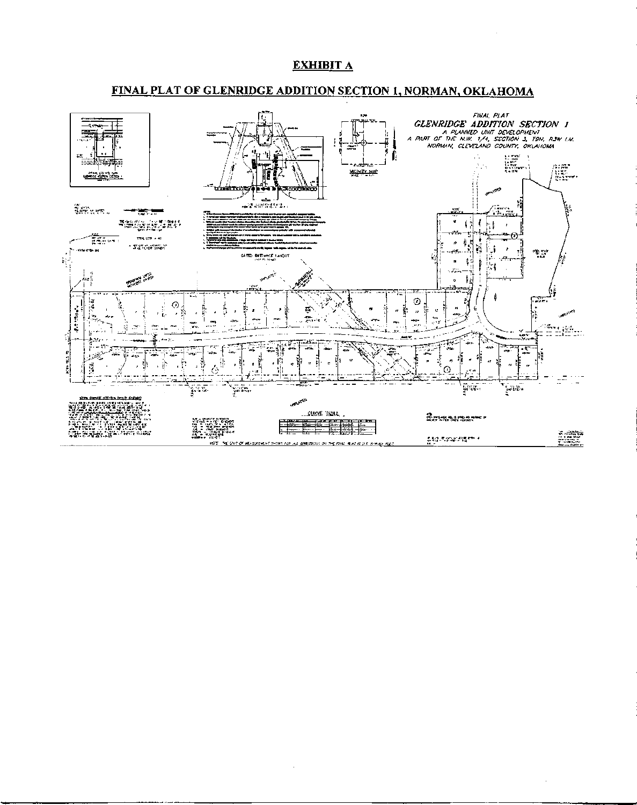# **EXHIBIT A**

# **FINAL PLAT OF GLENRIDGE ADDITION SECTION 1, NORMAN, OKLAHOMA**



 $\bar{z}$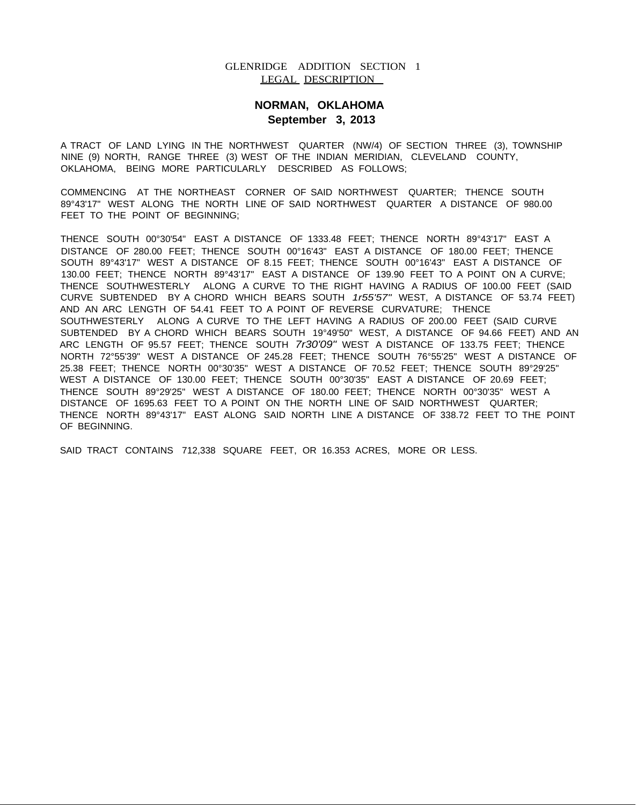## GLENRIDGE ADDITION SECTION 1 LEGAL DESCRIPTION

# **NORMAN, OKLAHOMA September 3, 2013**

A TRACT OF LAND LYING IN THE NORTHWEST QUARTER (NW/4) OF SECTION THREE (3), TOWNSHIP NINE (9) NORTH, RANGE THREE (3) WEST OF THE INDIAN MERIDIAN, CLEVELAND COUNTY, OKLAHOMA, BEING MORE PARTICULARLY DESCRIBED AS FOLLOWS;

COMMENCING AT THE NORTHEAST CORNER OF SAID NORTHWEST QUARTER; THENCE SOUTH 89°43'17" WEST ALONG THE NORTH LINE OF SAID NORTHWEST QUARTER A DISTANCE OF 980.00 FEET TO THE POINT OF BEGINNING;

THENCE SOUTH 00°30'54" EAST A DISTANCE OF 1333.48 FEET; THENCE NORTH 89°43'17" EAST A DISTANCE OF 280.00 FEET; THENCE SOUTH 00°16'43" EAST A DISTANCE OF 180.00 FEET; THENCE SOUTH 89°43'17" WEST A DISTANCE OF 8.15 FEET; THENCE SOUTH 00°16'43" EAST A DISTANCE OF 130.00 FEET; THENCE NORTH 89°43'17" EAST A DISTANCE OF 139.90 FEET TO A POINT ON A CURVE; THENCE SOUTHWESTERLY ALONG A CURVE TO THE RIGHT HAVING A RADIUS OF 100.00 FEET (SAID CURVE SUBTENDED BY A CHORD WHICH BEARS SOUTH *1r55'57"* WEST, A DISTANCE OF 53.74 FEET) AND AN ARC LENGTH OF 54.41 FEET TO A POINT OF REVERSE CURVATURE; THENCE SOUTHWESTERLY ALONG A CURVE TO THE LEFT HAVING A RADIUS OF 200.00 FEET (SAID CURVE SUBTENDED BY A CHORD WHICH BEARS SOUTH 19°49'50" WEST, A DISTANCE OF 94.66 FEET) AND AN ARC LENGTH OF 95.57 FEET; THENCE SOUTH *7r30'09"* WEST A DISTANCE OF 133.75 FEET; THENCE NORTH 72°55'39" WEST A DISTANCE OF 245.28 FEET; THENCE SOUTH 76°55'25" WEST A DISTANCE OF 25.38 FEET; THENCE NORTH 00°30'35" WEST A DISTANCE OF 70.52 FEET; THENCE SOUTH 89°29'25" WEST A DISTANCE OF 130.00 FEET; THENCE SOUTH 00°30'35" EAST A DISTANCE OF 20.69 FEET; THENCE SOUTH 89°29'25" WEST A DISTANCE OF 180.00 FEET; THENCE NORTH 00°30'35" WEST A DISTANCE OF 1695.63 FEET TO A POINT ON THE NORTH LINE OF SAID NORTHWEST QUARTER; THENCE NORTH 89°43'17" EAST ALONG SAID NORTH LINE A DISTANCE OF 338.72 FEET TO THE POINT OF BEGINNING.

SAID TRACT CONTAINS 712,338 SQUARE FEET, OR 16.353 ACRES, MORE OR LESS.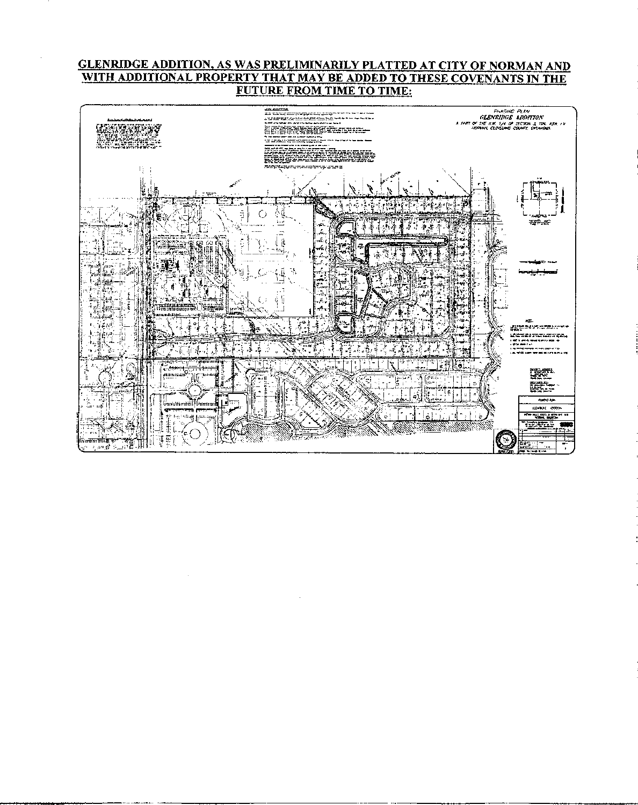# GLENRIDGE ADDITION, AS WAS PRELIMINARILY PLATTED AT CITY OF NORMAN AND WITH ADDITIONAL PROPERTY THAT MAYBE ADDED TO THESE COVENANTS IN THE FUTURE FROM TIME TO TIME:

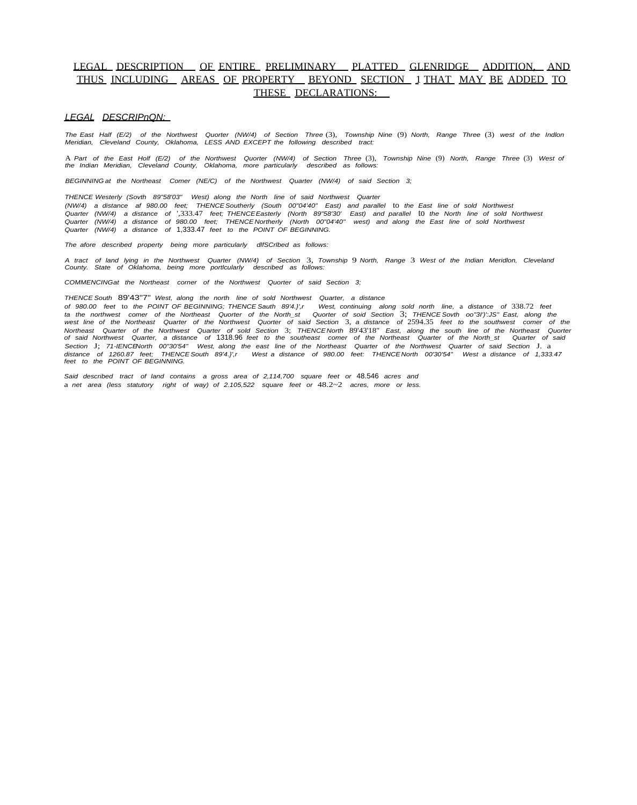## LEGAL DESCRIPTION OF ENTIRE PRELIMINARY PLATTED GLENRIDGE ADDITION, AND THUS INCLUDING AREAS OF PROPERTY BEYOND SECTION 1 THAT MAY BE ADDED TO THESE DECLARATIONS:

#### *LEGAL DESCRIPnQN:*

*The East Half (E/2) of the Northwest Quorter (NW/4) of Section Three* (3), *Township Nine* (9) *North, Range Three* (3) *west of the Indlon Meridian, Cleveland County, Oklahoma, LESS AND EXCEPT the following described tract:*

A *Part of the East Holf (E/2) of the Northwest Quorter (NW/4) of Section Three* (3), *Township Nine* (9) *North, Range Three* (3) *West of the Indian Meridian, Cleveland County, Oklahoma, more particularly described as follows:*

*BEGINNING at the Northeast Comer (NE/C) of the Northwest Quarter (NW/4) of said Section 3;*

*THENCE Westerly (Sovth 89"58'03" West) along the North line of said Northwest Quarter* (NW/4) a distance af 980.00 feet; THENCESoutherly (South 00"04'40" East) and parallel to the East line of sold Northwest<br>Quarter (NW/4) a distance of ',333.47 feet; THENCEEasterly (North 89"58'30' East) and parallel to the *Quarter (NW/4) a distance of* 1,333.47 *feet to the POINT OF BEGINNING.*

*The afore described property being more particularly dlfSCrlbed as follows:*

*A tract of land lying in the Northwest Quarter (NW/4) of Section* 3, *Township* 9 *North, Range* 3 *West of the Indian Meridlon, Cleveland County. State of Oklahoma, being more portlcularly described as follows:*

*COMMENCINGat the Northeast corner of the Northwest Quorter of said Section 3;*

*THENCE South* 89'43"7" *West, along the north line of sold Northwest Quarter, a distance*

of 980.00 feet to the POINT OF BEGINNING; THENCE Sauth 89'4.}',r West, continuing along sold north line, a distance of 338.72 feet<br>ta the northwest comer of the Northeast Quorter of the North\_st Quorter of soid Section 3; *west line of the Northeast Quarter of the Northwest Quorter of said Section* 3, *a distance of* 2594.35 *feet to the southwest comer of the* Northeast Quarter of the Northwest Quarter of sold Section 3; THENCENorth 89'43'18" East, along the south line of the Northeast Quorter<br>of said Northwest Quarter, a distance of 1318.96 feet to the southeast comer of the No *Section* J; *71-IENCENorth 00"30'54" West, along the east line of the Northeast Quarter of the Northwest Quarter of said Section* J. a *distance of 1260.87 feet; THENCE South 89'4.}',r West a distance of 980.00 feet: THENCE North 00'30'54" West a distance of 1,333.47 feet to the POINT OF BEGINNING.*

*Said described tract of land contains a gross area of 2,114,700 square feet or* 48.546 *acres and* a *net area (less statutory right of way) of 2.105,522 square feet or* 48.2~2 *acres, more or less.*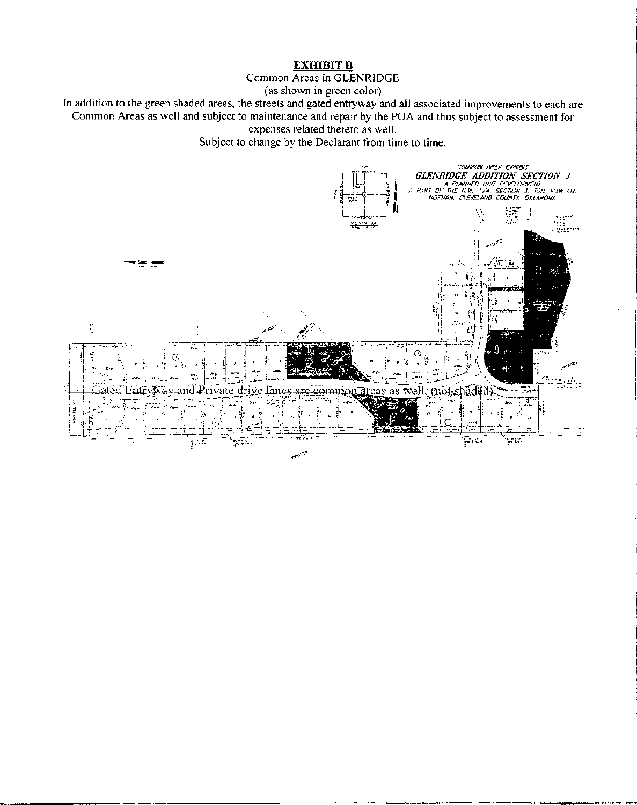# **EXHIBITB**

Common Areas in GLENRIDGE

(as shown in green color)

**In** addition to the green shaded areas, the streets and gated entryway and all associated improvements to each are Common Areas as well and subject to maintenance and repair by the POA and thus subject to assessment for expenses related thereto as well.

Subject to change by the Declarant from time to time.

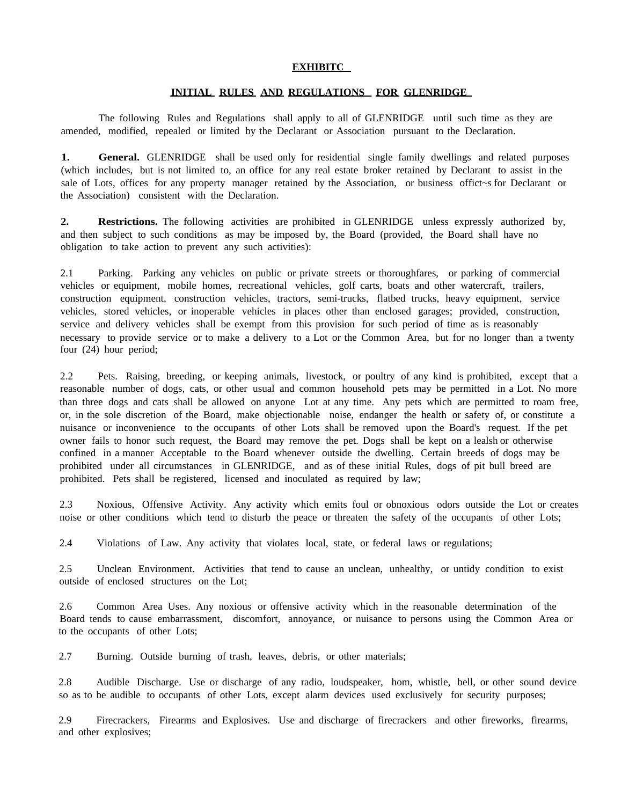#### **EXHIBITC**

## **INITIAL RULES AND REGULATIONS FOR GLENRIDGE**

The following Rules and Regulations shall apply to all of GLENRIDGE until such time as they are amended, modified, repealed or limited by the Declarant or Association pursuant to the Declaration.

**1.** General. GLENRIDGE shall be used only for residential single family dwellings and related purposes (which includes, but is not limited to, an office for any real estate broker retained by Declarant to assist in the sale of Lots, offices for any property manager retained by the Association, or business offict~s for Declarant or the Association) consistent with the Declaration.

**2. Restrictions.** The following activities are prohibited in GLENRIDGE unless expressly authorized by, and then subject to such conditions as may be imposed by, the Board (provided, the Board shall have no obligation to take action to prevent any such activities):

2.1 Parking. Parking any vehicles on public or private streets or thoroughfares, or parking of commercial vehicles or equipment, mobile homes, recreational vehicles, golf carts, boats and other watercraft, trailers, construction equipment, construction vehicles, tractors, semi-trucks, flatbed trucks, heavy equipment, service vehicles, stored vehicles, or inoperable vehicles in places other than enclosed garages; provided, construction, service and delivery vehicles shall be exempt from this provision for such period of time as is reasonably necessary to provide service or to make a delivery to a Lot or the Common Area, but for no longer than a twenty four (24) hour period;

2.2 Pets. Raising, breeding, or keeping animals, livestock, or poultry of any kind is prohibited, except that a reasonable number of dogs, cats, or other usual and common household pets may be permitted in a Lot. No more than three dogs and cats shall be allowed on anyone Lot at any time. Any pets which are permitted to roam free, or, in the sole discretion of the Board, make objectionable noise, endanger the health or safety of, or constitute a nuisance or inconvenience to the occupants of other Lots shall be removed upon the Board's request. If the pet owner fails to honor such request, the Board may remove the pet. Dogs shall be kept on a lealsh or otherwise confined in a manner Acceptable to the Board whenever outside the dwelling. Certain breeds of dogs may be prohibited under all circumstances in GLENRIDGE, and as of these initial Rules, dogs of pit bull breed are prohibited. Pets shall be registered, licensed and inoculated as required by law;

2.3 Noxious, Offensive Activity. Any activity which emits foul or obnoxious odors outside the Lot or creates noise or other conditions which tend to disturb the peace or threaten the safety of the occupants of other Lots;

2.4 Violations of Law. Any activity that violates local, state, or federal laws or regulations;

2.5 Unclean Environment. Activities that tend to cause an unclean, unhealthy, or untidy condition to exist outside of enclosed structures on the Lot;

2.6 Common Area Uses. Any noxious or offensive activity which in the reasonable determination of the Board tends to cause embarrassment, discomfort, annoyance, or nuisance to persons using the Common Area or to the occupants of other Lots;

2.7 Burning. Outside burning of trash, leaves, debris, or other materials;

2.8 Audible Discharge. Use or discharge of any radio, loudspeaker, hom, whistle, bell, or other sound device so as to be audible to occupants of other Lots, except alarm devices used exclusively for security purposes;

2.9 Firecrackers, Firearms and Explosives. Use and discharge of firecrackers and other fireworks, firearms, and other explosives;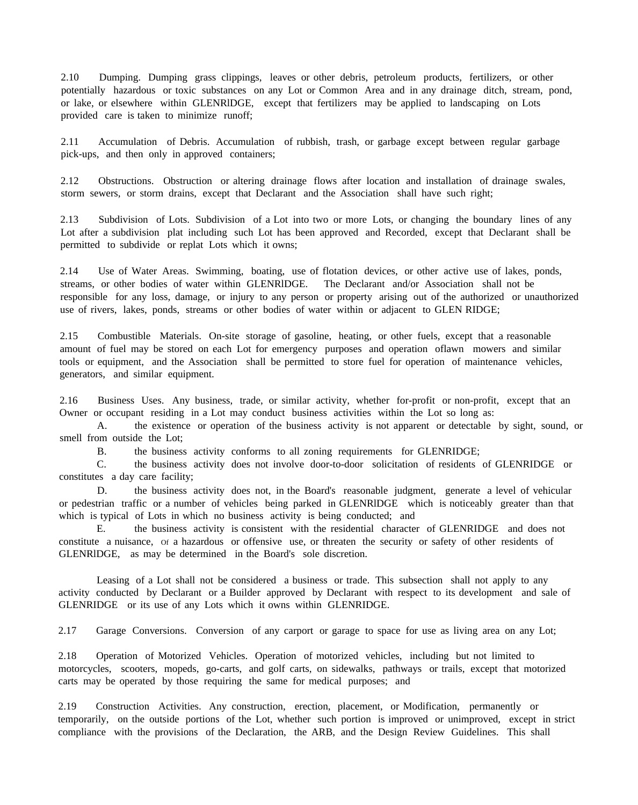2.10 Dumping. Dumping grass clippings, leaves or other debris, petroleum products, fertilizers, or other potentially hazardous or toxic substances on any Lot or Common Area and in any drainage ditch, stream, pond, or lake, or elsewhere within GLENRlDGE, except that fertilizers may be applied to landscaping on Lots provided care is taken to minimize runoff;

2.11 Accumulation of Debris. Accumulation of rubbish, trash, or garbage except between regular garbage pick-ups, and then only in approved containers;

2.12 Obstructions. Obstruction or altering drainage flows after location and installation of drainage swales, storm sewers, or storm drains, except that Declarant and the Association shall have such right;

2.13 Subdivision of Lots. Subdivision of a Lot into two or more Lots, or changing the boundary lines of any Lot after a subdivision plat including such Lot has been approved and Recorded, except that Declarant shall be permitted to subdivide or replat Lots which it owns;

2.14 Use of Water Areas. Swimming, boating, use of flotation devices, or other active use of lakes, ponds, streams, or other bodies of water within GLENRlDGE. The Declarant and/or Association shall not be responsible for any loss, damage, or injury to any person or property arising out of the authorized or unauthorized use of rivers, lakes, ponds, streams or other bodies of water within or adjacent to GLEN RIDGE;

2.15 Combustible Materials. On-site storage of gasoline, heating, or other fuels, except that a reasonable amount of fuel may be stored on each Lot for emergency purposes and operation oflawn mowers and similar tools or equipment, and the Association shall be permitted to store fuel for operation of maintenance vehicles, generators, and similar equipment.

2.16 Business Uses. Any business, trade, or similar activity, whether for-profit or non-profit, except that an Owner or occupant residing in a Lot may conduct business activities within the Lot so long as:

A. the existence or operation of the business activity is not apparent or detectable by sight, sound, or smell from outside the Lot;

B. the business activity conforms to all zoning requirements for GLENRIDGE;

C. the business activity does not involve door-to-door solicitation of residents of GLENRIDGE or constitutes a day care facility;

D. the business activity does not, in the Board's reasonable judgment, generate a level of vehicular or pedestrian traffic or a number of vehicles being parked in GLENRlDGE which is noticeably greater than that which is typical of Lots in which no business activity is being conducted; and

E. the business activity is consistent with the residential character of GLENRIDGE and does not constitute a nuisance, Of a hazardous or offensive use, or threaten the security or safety of other residents of GLENRlDGE, as may be determined in the Board's sole discretion.

Leasing of a Lot shall not be considered a business or trade. This subsection shall not apply to any activity conducted by Declarant or a Builder approved by Declarant with respect to its development and sale of GLENRIDGE or its use of any Lots which it owns within GLENRIDGE.

2.17 Garage Conversions. Conversion of any carport or garage to space for use as living area on any Lot;

2.18 Operation of Motorized Vehicles. Operation of motorized vehicles, including but not limited to motorcycles, scooters, mopeds, go-carts, and golf carts, on sidewalks, pathways or trails, except that motorized carts may be operated by those requiring the same for medical purposes; and

2.19 Construction Activities. Any construction, erection, placement, or Modification, permanently or temporarily, on the outside portions of the Lot, whether such portion is improved or unimproved, except in strict compliance with the provisions of the Declaration, the ARB, and the Design Review Guidelines. This shall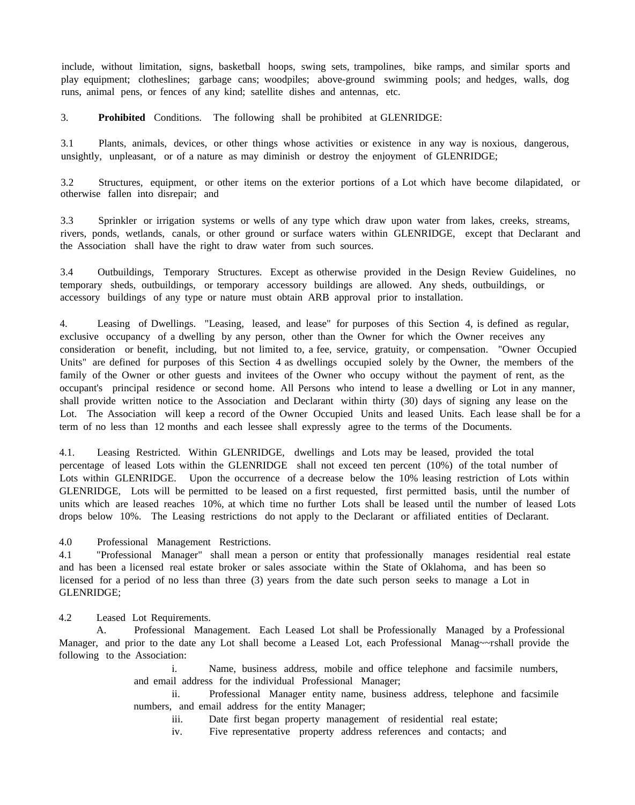include, without limitation, signs, basketball hoops, swing sets, trampolines, bike ramps, and similar sports and play equipment; clotheslines; garbage cans; woodpiles; above-ground swimming pools; and hedges, walls, dog runs, animal pens, or fences of any kind; satellite dishes and antennas, etc.

3. **Prohibited** Conditions. The following shall be prohibited at GLENRIDGE:

3.1 Plants, animals, devices, or other things whose activities or existence in any way is noxious, dangerous, unsightly, unpleasant, or of a nature as may diminish or destroy the enjoyment of GLENRIDGE;

3.2 Structures, equipment, or other items on the exterior portions of a Lot which have become dilapidated, or otherwise fallen into disrepair; and

3.3 Sprinkler or irrigation systems or wells of any type which draw upon water from lakes, creeks, streams, rivers, ponds, wetlands, canals, or other ground or surface waters within GLENRIDGE, except that Declarant and the Association shall have the right to draw water from such sources.

3.4 Outbuildings, Temporary Structures. Except as otherwise provided in the Design Review Guidelines, no temporary sheds, outbuildings, or temporary accessory buildings are allowed. Any sheds, outbuildings, or accessory buildings of any type or nature must obtain ARB approval prior to installation.

4. Leasing of Dwellings. "Leasing, leased, and lease" for purposes of this Section 4, is defined as regular, exclusive occupancy of a dwelling by any person, other than the Owner for which the Owner receives any consideration or benefit, including, but not limited to, a fee, service, gratuity, or compensation. "Owner Occupied Units" are defined for purposes of this Section 4 as dwellings occupied solely by the Owner, the members of the family of the Owner or other guests and invitees of the Owner who occupy without the payment of rent, as the occupant's principal residence or second home. All Persons who intend to lease a dwelling or Lot in any manner, shall provide written notice to the Association and Declarant within thirty (30) days of signing any lease on the Lot. The Association will keep a record of the Owner Occupied Units and leased Units. Each lease shall be for a term of no less than 12 months and each lessee shall expressly agree to the terms of the Documents.

4.1. Leasing Restricted. Within GLENRIDGE, dwellings and Lots may be leased, provided the total percentage of leased Lots within the GLENRIDGE shall not exceed ten percent (10%) of the total number of Lots within GLENRIDGE. Upon the occurrence of a decrease below the 10% leasing restriction of Lots within GLENRIDGE, Lots will be permitted to be leased on a first requested, first permitted basis, until the number of units which are leased reaches 10%, at which time no further Lots shall be leased until the number of leased Lots drops below 10%. The Leasing restrictions do not apply to the Declarant or affiliated entities of Declarant.

4.0 Professional Management Restrictions.

4.1 "Professional Manager" shall mean a person or entity that professionally manages residential real estate and has been a licensed real estate broker or sales associate within the State of Oklahoma, and has been so licensed for a period of no less than three (3) years from the date such person seeks to manage a Lot in GLENRIDGE;

4.2 Leased Lot Requirements.

A. Professional Management. Each Leased Lot shall be Professionally Managed by a Professional Manager, and prior to the date any Lot shall become a Leased Lot, each Professional Manag~~rshall provide the following to the Association:

> i. Name, business address, mobile and office telephone and facsimile numbers, and email address for the individual Professional Manager;

> ii. Professional Manager entity name, business address, telephone and facsimile numbers, and email address for the entity Manager;

iii. Date first began property management of residential real estate;

iv. Five representative property address references and contacts; and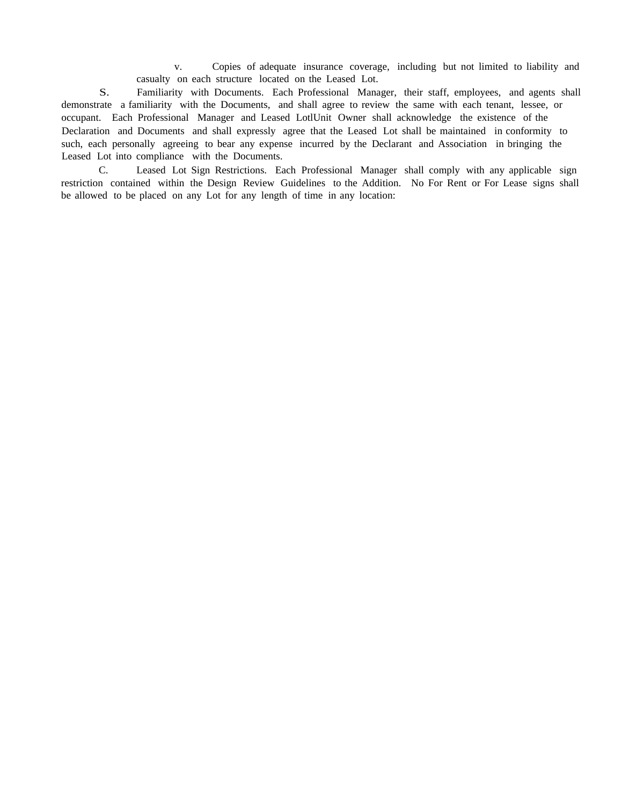v. Copies of adequate insurance coverage, including but not limited to liability and casualty on each structure located on the Leased Lot.

S. Familiarity with Documents. Each Professional Manager, their staff, employees, and agents shall demonstrate a familiarity with the Documents, and shall agree to review the same with each tenant, lessee, or occupant. Each Professional Manager and Leased LotlUnit Owner shall acknowledge the existence of the Declaration and Documents and shall expressly agree that the Leased Lot shall be maintained in conformity to such, each personally agreeing to bear any expense incurred by the Declarant and Association in bringing the Leased Lot into compliance with the Documents.

C. Leased Lot Sign Restrictions. Each Professional Manager shall comply with any applicable sign restriction contained within the Design Review Guidelines to the Addition. No For Rent or For Lease signs shall be allowed to be placed on any Lot for any length of time in any location: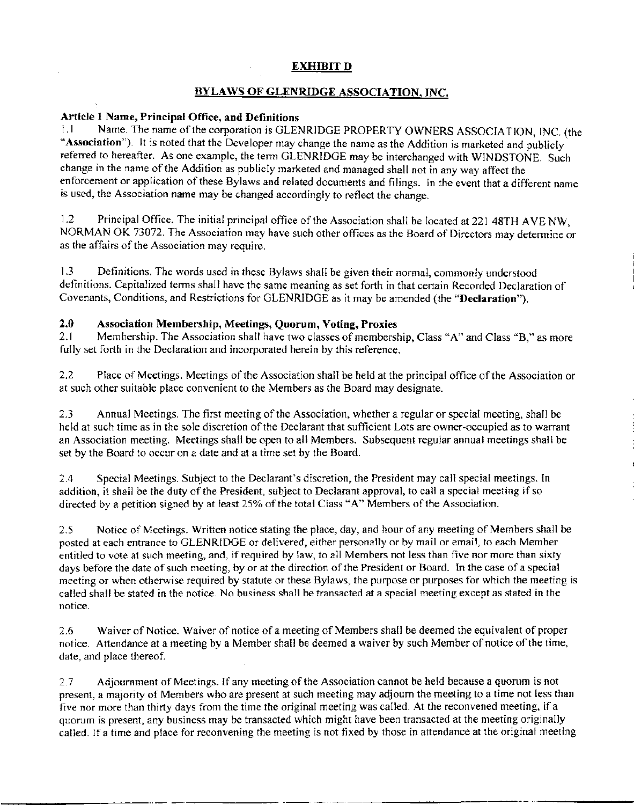# EXHIBIT D

# BYLAWS OF GLENRIDGE ASSOCIATION, INC.

# Article 1Name, Principal Office, and Definitions

1.1 Name. The name of the corporation is GLENRIDGE PROPERTY OWNERS ASSOCIATION, INC. (the "Association"). It is noted that the Developer may change the name as the Addition is marketed and publicly referred to hereafter. As one example, the term GLEN RIDGE may be interchanged with WINDSTONE. Such change in the name of the Addition as publicly marketed and managed shall not in any way affect the enforcement or application of these Bylaws and related documents and filings. In the event that a different name is used, the Association name may be changed accordingly to reflect the change.

1.2 Principal Office. The initial principal office of the Association shall be located at 221 48TH AVE NW, NORMAN OK 73072. The Association may have such other offices as the Board of Directors may determine or as the affairs of the Association may require.

1.3 Definitions. The words used in these Bylaws shall be given their normal, commonly understood definitions. Capitalized terms shall have the same meaning as set forth in that certain Recorded Declaration of Covenants, Conditions, and Restrictions for GLENRIDGE as it may be amended (the "Declaration").

# 2.0 Association Membership, Meetings, Quorum, Voting, Proxies

2.1 Membership. The Association shall have two classes of membership, Class "A" and Class "B," as more fully set forth in the Declaration and incorporated herein by this reference.

2.2 Place of Meetings. Meetings of the Association shall be held at the principal office of the Association or at such other suitable place convenient to the Members as the Board may designate.

2.3 Annual Meetings. The first meeting of the Association, whether a regular or special meeting, shall be held at such time as in the sole discretion of the Declarant that sufficient Lots are owner-occupied as to warrant an Association meeting. Meetings shall be open to all Members. Subsequent regular annual meetings shall be set by the Board to occur on a date and at a time set by the Board.

2.4 Special Meetings. Subject to the Declarant's discretion, the President may call special meetings. In addition, it shall be the duty of the President, subject to Declarant approval, to call a special meeting if so directed by a petition signed by at least 25% of the total Class "A" Members of the Association.

2.5 Notice of Meetings. Written notice stating the place, day, and hour of any meeting of Members shall be posted at each entrance to GLENRIDGE or delivered, either personally or by mail or email, to each Member entitled to vote at such meeting, and, if required by law, to all Members not less than five nor more than sixty days before the date of such meeting, by or at the direction of the President or Board. In the case of a special meeting or when otherwise required by statute or these Bylaws, the purpose or purposes for which the meeting is called shall be stated in the notice. No business shall be transacted at a special meeting except as stated in the notice.

2.6 Waiver of Notice. Waiver of notice of a meeting of Members shall be deemed the equivalent of proper notice. Attendance at a meeting by a Member shall be deemed a waiver by such Member of notice of the time, date, and place thereof.

2.7 Adjournment of Meetings. If any meeting of the Association cannot be held because a quorum is not present, a majority of Members who are present at such meeting may adjourn the meeting to a time not less than five nor more than thirty days from the time the original meeting was called. At the reconvened meeting, if a quorum is present, any business may be transacted which might have been transacted at the meeting originally called. If a time and place for reconvening the meeting is not fixed by those in attendance at the original meeting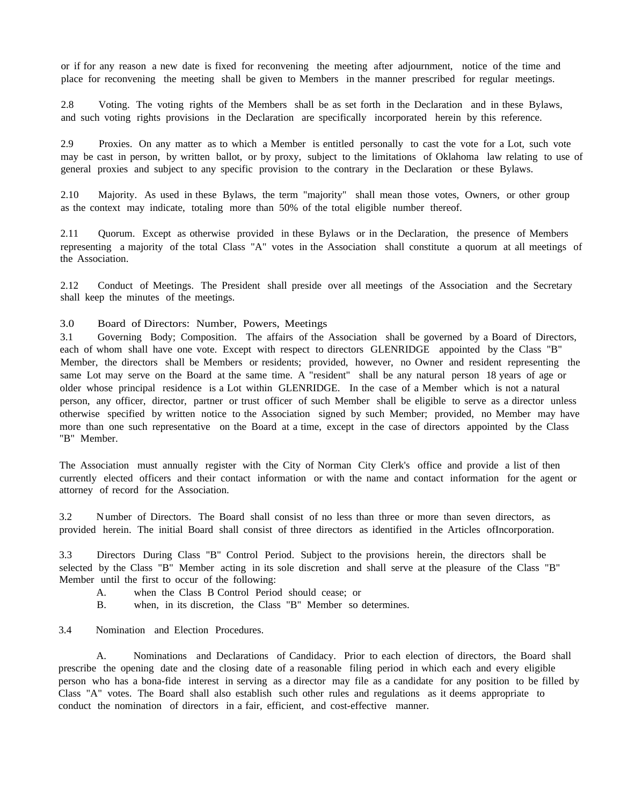or if for any reason a new date is fixed for reconvening the meeting after adjournment, notice of the time and place for reconvening the meeting shall be given to Members in the manner prescribed for regular meetings.

2.8 Voting. The voting rights of the Members shall be as set forth in the Declaration and in these Bylaws, and such voting rights provisions in the Declaration are specifically incorporated herein by this reference.

2.9 Proxies. On any matter as to which a Member is entitled personally to cast the vote for a Lot, such vote may be cast in person, by written ballot, or by proxy, subject to the limitations of Oklahoma law relating to use of general proxies and subject to any specific provision to the contrary in the Declaration or these Bylaws.

2.10 Majority. As used in these Bylaws, the term "majority" shall mean those votes, Owners, or other group as the context may indicate, totaling more than 50% of the total eligible number thereof.

2.11 Quorum. Except as otherwise provided in these Bylaws or in the Declaration, the presence of Members representing a majority of the total Class "A" votes in the Association shall constitute a quorum at all meetings of the Association.

2.12 Conduct of Meetings. The President shall preside over all meetings of the Association and the Secretary shall keep the minutes of the meetings.

3.0 Board of Directors: Number, Powers, Meetings

3.1 Governing Body; Composition. The affairs of the Association shall be governed by a Board of Directors, each of whom shall have one vote. Except with respect to directors GLENRIDGE appointed by the Class "B" Member, the directors shall be Members or residents; provided, however, no Owner and resident representing the same Lot may serve on the Board at the same time. A "resident" shall be any natural person 18 years of age or older whose principal residence is a Lot within GLENRIDGE. In the case of a Member which is not a natural person, any officer, director, partner or trust officer of such Member shall be eligible to serve as a director unless otherwise specified by written notice to the Association signed by such Member; provided, no Member may have more than one such representative on the Board at a time, except in the case of directors appointed by the Class "B" Member.

The Association must annually register with the City of Norman City Clerk's office and provide a list of then currently elected officers and their contact information or with the name and contact information for the agent or attorney of record for the Association.

3.2 N umber of Directors. The Board shall consist of no less than three or more than seven directors, as provided herein. The initial Board shall consist of three directors as identified in the Articles ofIncorporation.

3.3 Directors During Class "B" Control Period. Subject to the provisions herein, the directors shall be selected by the Class "B" Member acting in its sole discretion and shall serve at the pleasure of the Class "B" Member until the first to occur of the following:

- A. when the Class B Control Period should cease; or
- B. when, in its discretion, the Class "B" Member so determines.
- 3.4 Nomination and Election Procedures.

A. Nominations and Declarations of Candidacy. Prior to each election of directors, the Board shall prescribe the opening date and the closing date of a reasonable filing period in which each and every eligible person who has a bona-fide interest in serving as a director may file as a candidate for any position to be filled by Class "A" votes. The Board shall also establish such other rules and regulations as it deems appropriate to conduct the nomination of directors in a fair, efficient, and cost-effective manner.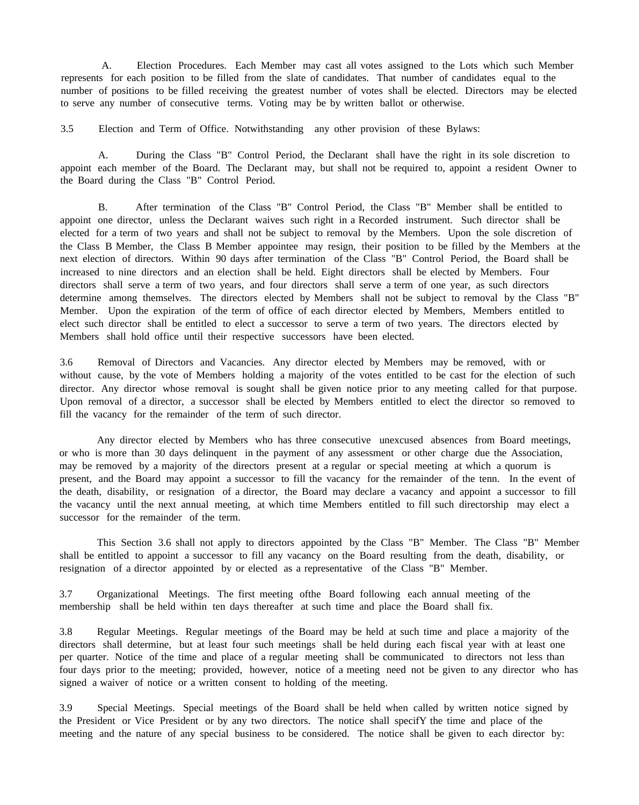A. Election Procedures. Each Member may cast all votes assigned to the Lots which such Member represents for each position to be filled from the slate of candidates. That number of candidates equal to the number of positions to be filled receiving the greatest number of votes shall be elected. Directors may be elected to serve any number of consecutive terms. Voting may be by written ballot or otherwise.

3.5 Election and Term of Office. Notwithstanding any other provision of these Bylaws:

A. During the Class "B" Control Period, the Declarant shall have the right in its sole discretion to appoint each member of the Board. The Declarant may, but shall not be required to, appoint a resident Owner to the Board during the Class "B" Control Period.

B. After termination of the Class "B" Control Period, the Class "B" Member shall be entitled to appoint one director, unless the Declarant waives such right in a Recorded instrument. Such director shall be elected for a term of two years and shall not be subject to removal by the Members. Upon the sole discretion of the Class B Member, the Class B Member appointee may resign, their position to be filled by the Members at the next election of directors. Within 90 days after termination of the Class "B" Control Period, the Board shall be increased to nine directors and an election shall be held. Eight directors shall be elected by Members. Four directors shall serve a term of two years, and four directors shall serve a term of one year, as such directors determine among themselves. The directors elected by Members shall not be subject to removal by the Class "B" Member. Upon the expiration of the term of office of each director elected by Members, Members entitled to elect such director shall be entitled to elect a successor to serve a term of two years. The directors elected by Members shall hold office until their respective successors have been elected.

3.6 Removal of Directors and Vacancies. Any director elected by Members may be removed, with or without cause, by the vote of Members holding a majority of the votes entitled to be cast for the election of such director. Any director whose removal is sought shall be given notice prior to any meeting called for that purpose. Upon removal of a director, a successor shall be elected by Members entitled to elect the director so removed to fill the vacancy for the remainder of the term of such director.

Any director elected by Members who has three consecutive unexcused absences from Board meetings, or who is more than 30 days delinquent in the payment of any assessment or other charge due the Association, may be removed by a majority of the directors present at a regular or special meeting at which a quorum is present, and the Board may appoint a successor to fill the vacancy for the remainder of the tenn. In the event of the death, disability, or resignation of a director, the Board may declare a vacancy and appoint a successor to fill the vacancy until the next annual meeting, at which time Members entitled to fill such directorship may elect a successor for the remainder of the term.

This Section 3.6 shall not apply to directors appointed by the Class "B" Member. The Class "B" Member shall be entitled to appoint a successor to fill any vacancy on the Board resulting from the death, disability, or resignation of a director appointed by or elected as a representative of the Class "B" Member.

3.7 Organizational Meetings. The first meeting ofthe Board following each annual meeting of the membership shall be held within ten days thereafter at such time and place the Board shall fix.

3.8 Regular Meetings. Regular meetings of the Board may be held at such time and place a majority of the directors shall determine, but at least four such meetings shall be held during each fiscal year with at least one per quarter. Notice of the time and place of a regular meeting shall be communicated to directors not less than four days prior to the meeting; provided, however, notice of a meeting need not be given to any director who has signed a waiver of notice or a written consent to holding of the meeting.

3.9 Special Meetings. Special meetings of the Board shall be held when called by written notice signed by the President or Vice President or by any two directors. The notice shall specifY the time and place of the meeting and the nature of any special business to be considered. The notice shall be given to each director by: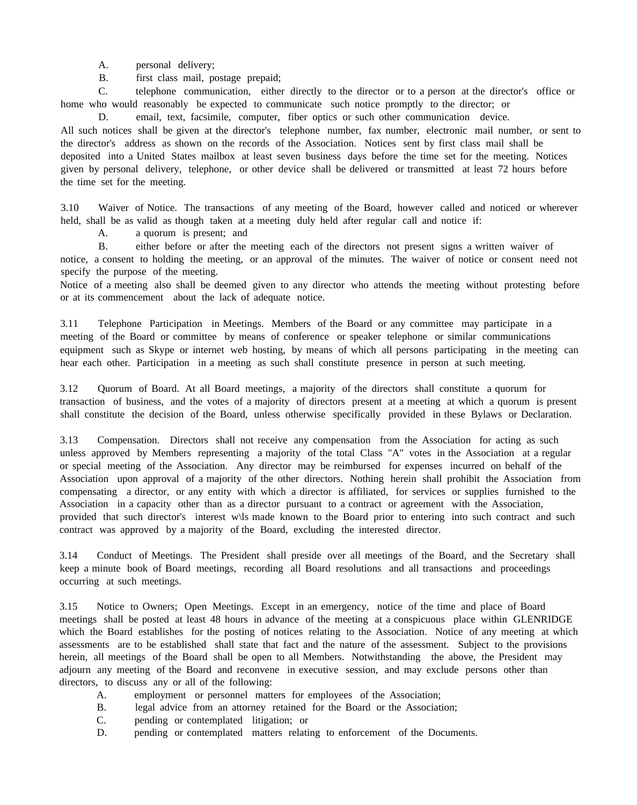A. personal delivery;

B. first class mail, postage prepaid;

C. telephone communication, either directly to the director or to a person at the director's office or home who would reasonably be expected to communicate such notice promptly to the director; or

D. email, text, facsimile, computer, fiber optics or such other communication device. All such notices shall be given at the director's telephone number, fax number, electronic mail number, or sent to the director's address as shown on the records of the Association. Notices sent by first class mail shall be deposited into a United States mailbox at least seven business days before the time set for the meeting. Notices given by personal delivery, telephone, or other device shall be delivered or transmitted at least 72 hours before the time set for the meeting.

3.10 Waiver of Notice. The transactions of any meeting of the Board, however called and noticed or wherever held, shall be as valid as though taken at a meeting duly held after regular call and notice if:

A. a quorum is present; and

B. either before or after the meeting each of the directors not present signs a written waiver of notice, a consent to holding the meeting, or an approval of the minutes. The waiver of notice or consent need not specify the purpose of the meeting.

Notice of a meeting also shall be deemed given to any director who attends the meeting without protesting before or at its commencement about the lack of adequate notice.

3.11 Telephone Participation in Meetings. Members of the Board or any committee may participate in a meeting of the Board or committee by means of conference or speaker telephone or similar communications equipment such as Skype or internet web hosting, by means of which all persons participating in the meeting can hear each other. Participation in a meeting as such shall constitute presence in person at such meeting.

3.12 Quorum of Board. At all Board meetings, a majority of the directors shall constitute a quorum for transaction of business, and the votes of a majority of directors present at a meeting at which a quorum is present shall constitute the decision of the Board, unless otherwise specifically provided in these Bylaws or Declaration.

3.13 Compensation. Directors shall not receive any compensation from the Association for acting as such unless approved by Members representing a majority of the total Class "A" votes in the Association at a regular or special meeting of the Association. Any director may be reimbursed for expenses incurred on behalf of the Association upon approval of a majority of the other directors. Nothing herein shall prohibit the Association from compensating a director, or any entity with which a director is affiliated, for services or supplies furnished to the Association in a capacity other than as a director pursuant to a contract or agreement with the Association, provided that such director's interest w\ls made known to the Board prior to entering into such contract and such contract was approved by a majority of the Board, excluding the interested director.

3.14 Conduct of Meetings. The President shall preside over all meetings of the Board, and the Secretary shall keep a minute book of Board meetings, recording all Board resolutions and all transactions and proceedings occurring at such meetings.

3.15 Notice to Owners; Open Meetings. Except in an emergency, notice of the time and place of Board meetings shall be posted at least 48 hours in advance of the meeting at a conspicuous place within GLENRIDGE which the Board establishes for the posting of notices relating to the Association. Notice of any meeting at which assessments are to be established shall state that fact and the nature of the assessment. Subject to the provisions herein, all meetings of the Board shall be open to all Members. Notwithstanding the above, the President may adjourn any meeting of the Board and reconvene in executive session, and may exclude persons other than directors, to discuss any or all of the following:

- A. employment or personnel matters for employees of the Association;
- B. legal advice from an attorney retained for the Board or the Association;
- C. pending or contemplated litigation; or
- D. pending or contemplated matters relating to enforcement of the Documents.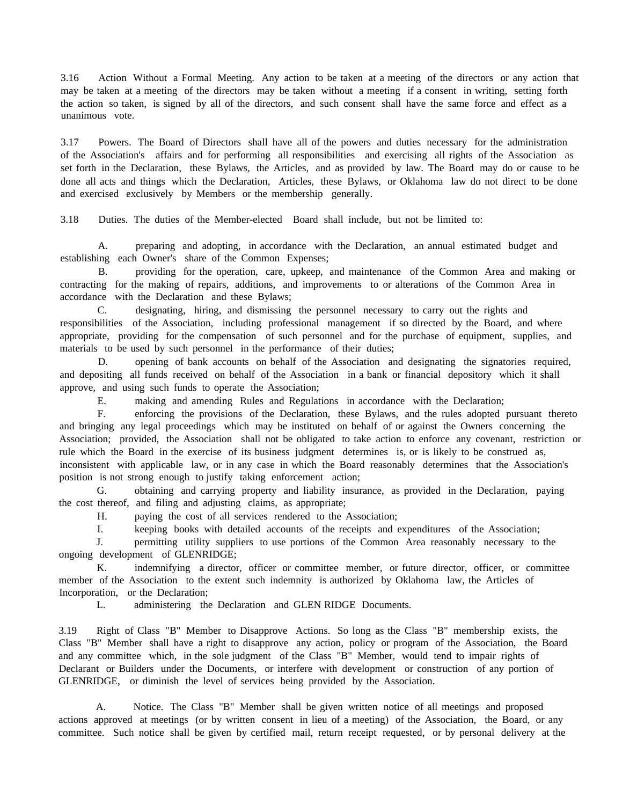3.16 Action Without a Formal Meeting. Any action to be taken at a meeting of the directors or any action that may be taken at a meeting of the directors may be taken without a meeting if a consent in writing, setting forth the action so taken, is signed by all of the directors, and such consent shall have the same force and effect as a unanimous vote.

3.17 Powers. The Board of Directors shall have all of the powers and duties necessary for the administration of the Association's affairs and for performing all responsibilities and exercising all rights of the Association as set forth in the Declaration, these Bylaws, the Articles, and as provided by law. The Board may do or cause to be done all acts and things which the Declaration, Articles, these Bylaws, or Oklahoma law do not direct to be done and exercised exclusively by Members or the membership generally.

3.18 Duties. The duties of the Member-elected Board shall include, but not be limited to:

A. preparing and adopting, in accordance with the Declaration, an annual estimated budget and establishing each Owner's share of the Common Expenses;

B. providing for the operation, care, upkeep, and maintenance of the Common Area and making or contracting for the making of repairs, additions, and improvements to or alterations of the Common Area in accordance with the Declaration and these Bylaws;

C. designating, hiring, and dismissing the personnel necessary to carry out the rights and responsibilities of the Association, including professional management if so directed by the Board, and where appropriate, providing for the compensation of such personnel and for the purchase of equipment, supplies, and materials to be used by such personnel in the performance of their duties;

D. opening of bank accounts on behalf of the Association and designating the signatories required, and depositing all funds received on behalf of the Association in a bank or financial depository which it shall approve, and using such funds to operate the Association;

E. making and amending Rules and Regulations in accordance with the Declaration;

F. enforcing the provisions of the Declaration, these Bylaws, and the rules adopted pursuant thereto and bringing any legal proceedings which may be instituted on behalf of or against the Owners concerning the Association; provided, the Association shall not be obligated to take action to enforce any covenant, restriction or rule which the Board in the exercise of its business judgment determines is, or is likely to be construed as, inconsistent with applicable law, or in any case in which the Board reasonably determines that the Association's position is not strong enough to justify taking enforcement action;

G. obtaining and carrying property and liability insurance, as provided in the Declaration, paying the cost thereof, and filing and adjusting claims, as appropriate;

H. paying the cost of all services rendered to the Association;

I. keeping books with detailed accounts of the receipts and expenditures of the Association;

J. permitting utility suppliers to use portions of the Common Area reasonably necessary to the ongoing development of GLENRIDGE;

K. indemnifying a director, officer or committee member, or future director, officer, or committee member of the Association to the extent such indemnity is authorized by Oklahoma law, the Articles of Incorporation, or the Declaration;

L. administering the Declaration and GLEN RIDGE Documents.

3.19 Right of Class "B" Member to Disapprove Actions. So long as the Class "B" membership exists, the Class "B" Member shall have a right to disapprove any action, policy or program of the Association, the Board and any committee which, in the sole judgment of the Class "B" Member, would tend to impair rights of Declarant or Builders under the Documents, or interfere with development or construction of any portion of GLENRIDGE, or diminish the level of services being provided by the Association.

A. Notice. The Class "B" Member shall be given written notice of all meetings and proposed actions approved at meetings (or by written consent in lieu of a meeting) of the Association, the Board, or any committee. Such notice shall be given by certified mail, return receipt requested, or by personal delivery at the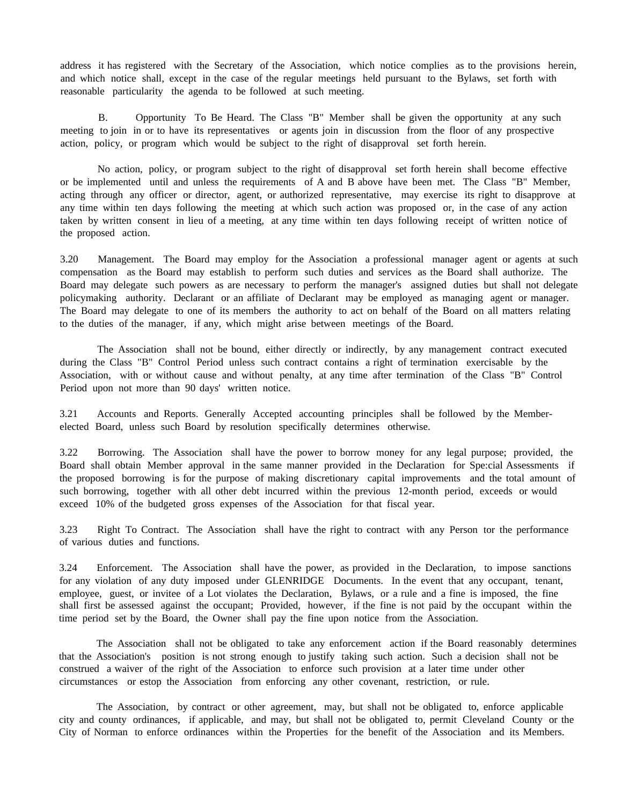address it has registered with the Secretary of the Association, which notice complies as to the provisions herein, and which notice shall, except in the case of the regular meetings held pursuant to the Bylaws, set forth with reasonable particularity the agenda to be followed at such meeting.

B. Opportunity To Be Heard. The Class "B" Member shall be given the opportunity at any such meeting to join in or to have its representatives or agents join in discussion from the floor of any prospective action, policy, or program which would be subject to the right of disapproval set forth herein.

No action, policy, or program subject to the right of disapproval set forth herein shall become effective or be implemented until and unless the requirements of A and B above have been met. The Class "B" Member, acting through any officer or director, agent, or authorized representative, may exercise its right to disapprove at any time within ten days following the meeting at which such action was proposed or, in the case of any action taken by written consent in lieu of a meeting, at any time within ten days following receipt of written notice of the proposed action.

3.20 Management. The Board may employ for the Association a professional manager agent or agents at such compensation as the Board may establish to perform such duties and services as the Board shall authorize. The Board may delegate such powers as are necessary to perform the manager's assigned duties but shall not delegate policymaking authority. Declarant or an affiliate of Declarant may be employed as managing agent or manager. The Board may delegate to one of its members the authority to act on behalf of the Board on all matters relating to the duties of the manager, if any, which might arise between meetings of the Board.

The Association shall not be bound, either directly or indirectly, by any management contract executed during the Class "B" Control Period unless such contract contains a right of termination exercisable by the Association, with or without cause and without penalty, at any time after termination of the Class "B" Control Period upon not more than 90 days' written notice.

3.21 Accounts and Reports. Generally Accepted accounting principles shall be followed by the Memberelected Board, unless such Board by resolution specifically determines otherwise.

3.22 Borrowing. The Association shall have the power to borrow money for any legal purpose; provided, the Board shall obtain Member approval in the same manner provided in the Declaration for Spe:cial Assessments if the proposed borrowing is for the purpose of making discretionary capital improvements and the total amount of such borrowing, together with all other debt incurred within the previous 12-month period, exceeds or would exceed 10% of the budgeted gross expenses of the Association for that fiscal year.

3.23 Right To Contract. The Association shall have the right to contract with any Person tor the performance of various duties and functions.

3.24 Enforcement. The Association shall have the power, as provided in the Declaration, to impose sanctions for any violation of any duty imposed under GLENRIDGE Documents. In the event that any occupant, tenant, employee, guest, or invitee of a Lot violates the Declaration, Bylaws, or a rule and a fine is imposed, the fine shall first be assessed against the occupant; Provided, however, if the fine is not paid by the occupant within the time period set by the Board, the Owner shall pay the fine upon notice from the Association.

The Association shall not be obligated to take any enforcement action if the Board reasonably determines that the Association's position is not strong enough to justify taking such action. Such a decision shall not be construed a waiver of the right of the Association to enforce such provision at a later time under other circumstances or estop the Association from enforcing any other covenant, restriction, or rule.

The Association, by contract or other agreement, may, but shall not be obligated to, enforce applicable city and county ordinances, if applicable, and may, but shall not be obligated to, permit Cleveland County or the City of Norman to enforce ordinances within the Properties for the benefit of the Association and its Members.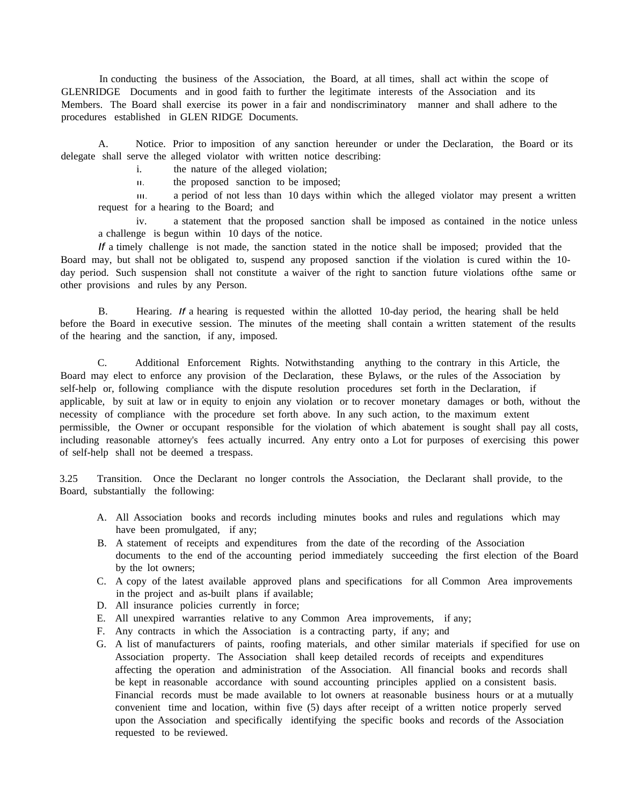In conducting the business of the Association, the Board, at all times, shall act within the scope of GLENRIDGE Documents and in good faith to further the legitimate interests of the Association and its Members. The Board shall exercise its power in a fair and nondiscriminatory manner and shall adhere to the procedures established in GLEN RIDGE Documents.

A. Notice. Prior to imposition of any sanction hereunder or under the Declaration, the Board or its delegate shall serve the alleged violator with written notice describing:

i. the nature of the alleged violation;

II. the proposed sanction to be imposed;

III. a period of not less than 10 days within which the alleged violator may present a written request for a hearing to the Board; and

iv. a statement that the proposed sanction shall be imposed as contained in the notice unless a challenge is begun within 10 days of the notice.

*If* a timely challenge is not made, the sanction stated in the notice shall be imposed; provided that the Board may, but shall not be obligated to, suspend any proposed sanction if the violation is cured within the 10 day period. Such suspension shall not constitute a waiver of the right to sanction future violations ofthe same or other provisions and rules by any Person.

B. Hearing. *If* a hearing is requested within the allotted 10-day period, the hearing shall be held before the Board in executive session. The minutes of the meeting shall contain a written statement of the results of the hearing and the sanction, if any, imposed.

C. Additional Enforcement Rights. Notwithstanding anything to the contrary in this Article, the Board may elect to enforce any provision of the Declaration, these Bylaws, or the rules of the Association by self-help or, following compliance with the dispute resolution procedures set forth in the Declaration, if applicable, by suit at law or in equity to enjoin any violation or to recover monetary damages or both, without the necessity of compliance with the procedure set forth above. In any such action, to the maximum extent permissible, the Owner or occupant responsible for the violation of which abatement is sought shall pay all costs, including reasonable attorney's fees actually incurred. Any entry onto a Lot for purposes of exercising this power of self-help shall not be deemed a trespass.

3.25 Transition. Once the Declarant no longer controls the Association, the Declarant shall provide, to the Board, substantially the following:

- A. All Association books and records including minutes books and rules and regulations which may have been promulgated, if any;
- B. A statement of receipts and expenditures from the date of the recording of the Association documents to the end of the accounting period immediately succeeding the first election of the Board by the lot owners;
- C. A copy of the latest available approved plans and specifications for all Common Area improvements in the project and as-built plans if available;
- D. All insurance policies currently in force;
- E. All unexpired warranties relative to any Common Area improvements, if any;
- F. Any contracts in which the Association is a contracting party, if any; and
- G. A list of manufacturers of paints, roofing materials, and other similar materials if specified for use on Association property. The Association shall keep detailed records of receipts and expenditures affecting the operation and administration of the Association. All financial books and records shall be kept in reasonable accordance with sound accounting principles applied on a consistent basis. Financial records must be made available to lot owners at reasonable business hours or at a mutually convenient time and location, within five (5) days after receipt of a written notice properly served upon the Association and specifically identifying the specific books and records of the Association requested to be reviewed.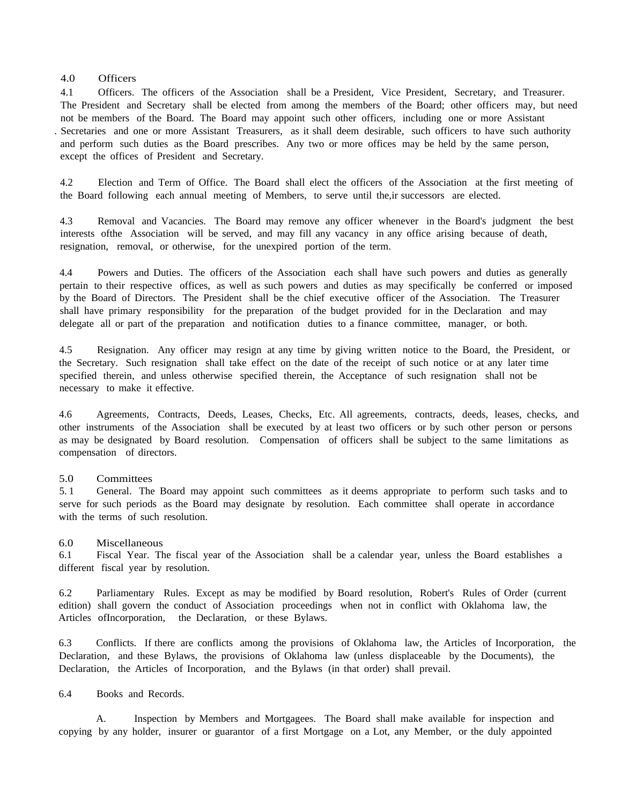## 4.0 Officers

4.1 Officers. The officers of the Association shall be a President, Vice President, Secretary, and Treasurer. The President and Secretary shall be elected from among the members of the Board; other officers may, but need not be members of the Board. The Board may appoint such other officers, including one or more Assistant . Secretaries and one or more Assistant Treasurers, as it shall deem desirable, such officers to have such authority and perform such duties as the Board prescribes. Any two or more offices may be held by the same person, except the offices of President and Secretary.

4.2 Election and Term of Office. The Board shall elect the officers of the Association at the first meeting of the Board following each annual meeting of Members, to serve until the,ir successors are elected.

4.3 Removal and Vacancies. The Board may remove any officer whenever in the Board's judgment the best interests ofthe Association will be served, and may fill any vacancy in any office arising because of death, resignation, removal, or otherwise, for the unexpired portion of the term.

4.4 Powers and Duties. The officers of the Association each shall have such powers and duties as generally pertain to their respective offices, as well as such powers and duties as may specifically be conferred or imposed by the Board of Directors. The President shall be the chief executive officer of the Association. The Treasurer shall have primary responsibility for the preparation of the budget provided for in the Declaration and may delegate all or part of the preparation and notification duties to a finance committee, manager, or both.

4.5 Resignation. Any officer may resign at any time by giving written notice to the Board, the President, or the Secretary. Such resignation shall take effect on the date of the receipt of such notice or at any later time specified therein, and unless otherwise specified therein, the Acceptance of such resignation shall not be necessary to make it effective.

4.6 Agreements, Contracts, Deeds, Leases, Checks, Etc. All agreements, contracts, deeds, leases, checks, and other instruments of the Association shall be executed by at least two officers or by such other person or persons as may be designated by Board resolution. Compensation of officers shall be subject to the same limitations as compensation of directors.

## 5.0 Committees

5. 1 General. The Board may appoint such committees as it deems appropriate to perform such tasks and to serve for such periods as the Board may designate by resolution. Each committee shall operate in accordance with the terms of such resolution.

## 6.0 Miscellaneous

6.1 Fiscal Year. The fiscal year of the Association shall be a calendar year, unless the Board establishes a different fiscal year by resolution.

6.2 Parliamentary Rules. Except as may be modified by Board resolution, Robert's Rules of Order (current edition) shall govern the conduct of Association proceedings when not in conflict with Oklahoma law, the Articles ofIncorporation, the Declaration, or these Bylaws.

6.3 Conflicts. If there are conflicts among the provisions of Oklahoma law, the Articles of Incorporation, the Declaration, and these Bylaws, the provisions of Oklahoma law (unless displaceable by the Documents), the Declaration, the Articles of Incorporation, and the Bylaws (in that order) shall prevail.

6.4 Books and Records.

A. Inspection by Members and Mortgagees. The Board shall make available for inspection and copying by any holder, insurer or guarantor of a first Mortgage on a Lot, any Member, or the duly appointed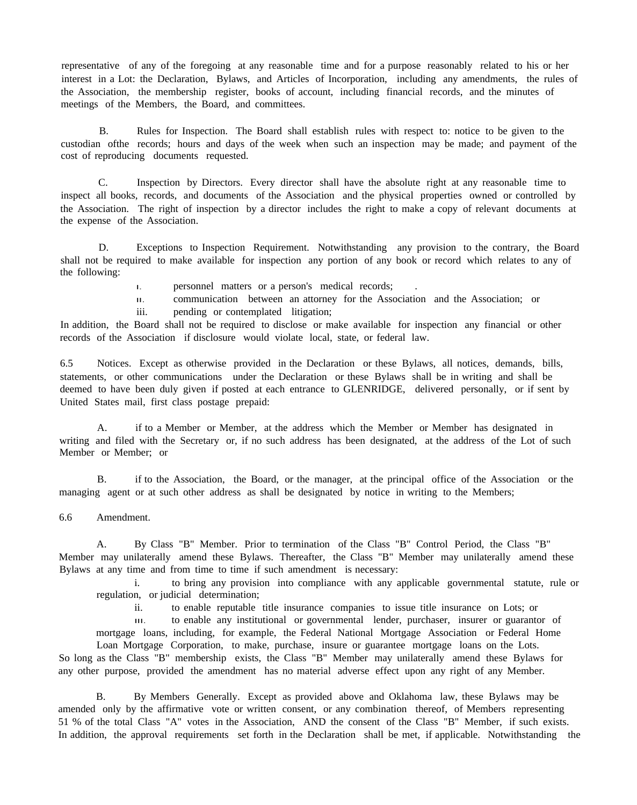representative of any of the foregoing at any reasonable time and for a purpose reasonably related to his or her interest in a Lot: the Declaration, Bylaws, and Articles of Incorporation, including any amendments, the rules of the Association, the membership register, books of account, including financial records, and the minutes of meetings of the Members, the Board, and committees.

B. Rules for Inspection. The Board shall establish rules with respect to: notice to be given to the custodian ofthe records; hours and days of the week when such an inspection may be made; and payment of the cost of reproducing documents requested.

C. Inspection by Directors. Every director shall have the absolute right at any reasonable time to inspect all books, records, and documents of the Association and the physical properties owned or controlled by the Association. The right of inspection by a director includes the right to make a copy of relevant documents at the expense of the Association.

D. Exceptions to Inspection Requirement. Notwithstanding any provision to the contrary, the Board shall not be required to make available for inspection any portion of any book or record which relates to any of the following:

I. personnel matters or a person's medical records; .

II. communication between an attorney for the Association and the Association; or

iii. pending or contemplated litigation;

In addition, the Board shall not be required to disclose or make available for inspection any financial or other records of the Association if disclosure would violate local, state, or federal law.

6.5 Notices. Except as otherwise provided in the Declaration or these Bylaws, all notices, demands, bills, statements, or other communications under the Declaration or these Bylaws shall be in writing and shall be deemed to have been duly given if posted at each entrance to GLENRIDGE, delivered personally, or if sent by United States mail, first class postage prepaid:

A. if to a Member or Member, at the address which the Member or Member has designated in writing and filed with the Secretary or, if no such address has been designated, at the address of the Lot of such Member or Member; or

B. if to the Association, the Board, or the manager, at the principal office of the Association or the managing agent or at such other address as shall be designated by notice in writing to the Members;

6.6 Amendment.

A. By Class "B" Member. Prior to termination of the Class "B" Control Period, the Class "B" Member may unilaterally amend these Bylaws. Thereafter, the Class "B" Member may unilaterally amend these Bylaws at any time and from time to time if such amendment is necessary:

i. to bring any provision into compliance with any applicable governmental statute, rule or regulation, or judicial determination;

ii. to enable reputable title insurance companies to issue title insurance on Lots; or

III. to enable any institutional or governmental lender, purchaser, insurer or guarantor of mortgage loans, including, for example, the Federal National Mortgage Association or Federal Home

Loan Mortgage Corporation, to make, purchase, insure or guarantee mortgage loans on the Lots. So long as the Class "B" membership exists, the Class "B" Member may unilaterally amend these Bylaws for any other purpose, provided the amendment has no material adverse effect upon any right of any Member.

B. By Members Generally. Except as provided above and Oklahoma law, these Bylaws may be amended only by the affirmative vote or written consent, or any combination thereof, of Members representing 51 % of the total Class "A" votes in the Association, AND the consent of the Class "B" Member, if such exists. In addition, the approval requirements set forth in the Declaration shall be met, if applicable. Notwithstanding the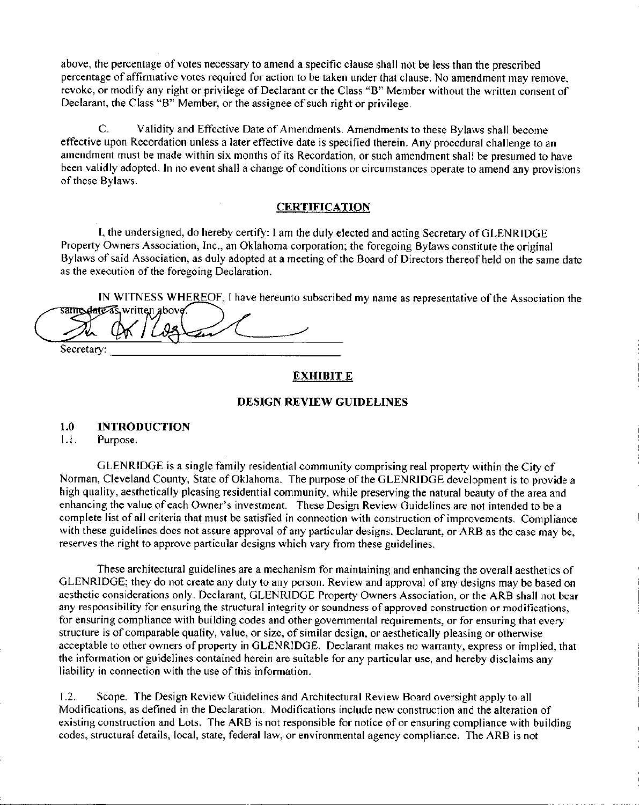above, the percentage of votes necessary to amend a specific clause shall not be less than the prescribed percentage of affirmative votes required for action to be taken under that clause. No amendment may remove, revoke, or modify any right or privilege of Declarant or the Class "B" Member without the written consent of Declarant, the Class "B" Member, or the assignee of such right or privilege.

C. Validity and Effective Date of Amendments. Amendments to these Bylaws shall become effective upon Recordation unless a later effective date is specified therein. Any procedural challenge to an amendment must be made within six months of its Recordation, or such amendment shall be presumed to have been validly adopted. **In** no event shall a change of conditions or circumstances operate to amend any provisions of these Bylaws.

# **CERTIFICATION**

**I,** the undersigned, do hereby certify: I am the duly elected and acting Secretary of GLEN RIDGE Property Owners Association, Inc., an Oklahoma corporation; the foregoing Bylaws constitute the original Bylaws of said Association, as duly adopted at a meeting of the Board of Directors thereof held on the same date as the execution of the foregoing Declaration.

IN WITNESS WHEREOF, I have hereunto subscribed my name as representative of the Association the **Same date** as *written above*.

Secretary:

# **EXHIBIT E**

# **DESIGN REVIEW GUIDELINES**

## **1.0 INTRODUCTION**

1.1. Purpose.

GLENRIDGE is a single family residential community comprising real property within the City of Norman, Cleveland County, State of Oklahoma. The purpose of the GLENRIDGE development is to provide a high quality, aesthetically pleasing residential community, while preserving the natural beauty of the area and enhancing the value of each Owner's investment. These Design Review Guidelines are not intended to be a complete list of all criteria that must be satisfied in connection with construction of improvements. Compliance with these guidelines does not assure approval of any particular designs. Declarant, or ARB as the case may be, reserves the right to approve particular designs which vary from these guidelines.

These architectural guidelines are a mechanism for maintaining and enhancing the overall aesthetics of GLENRIDGE; they do not create any duty to any person. Review and approval of any designs may be based on aesthetic considerations only. Declarant, GLENRIDGE Property Owners Association, or the ARB shall not bear any responsibility for ensuring the structural integrity or soundness of approved construction or modifications, for ensuring compliance with building codes and other governmental requirements, or for ensuring that every structure is of comparable quality, value, or size, of similar design, or aesthetically pleasing or otherwise acceptable to other owners of property in GLENRIDGE. Declarant makes no warranty, express or implied, that the information or guidelines contained herein are suitable for any particular use, and hereby disclaims any liability in connection with the use of this information.

1.2. Scope. The Design Review Guidelines and Architectural Review Board oversight apply to all Modifications, as defined in the Declaration. Modifications include new construction and the alteration of existing construction and Lots. The ARB is not responsible for notice of or ensuring compliance with building codes, structural details, local, state, federal law, or environmental agency compliance. The ARB is not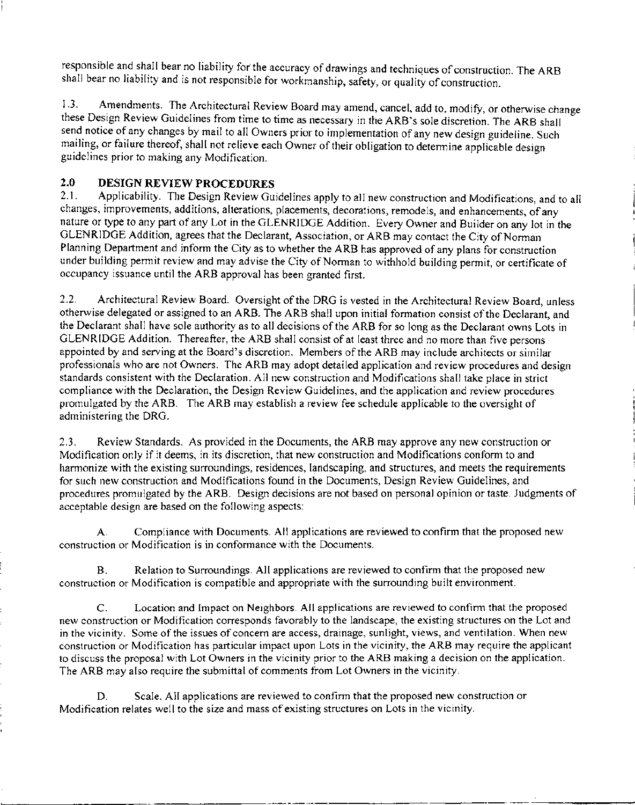responsible and shall bear no liability for the accuracy of drawings and techniques of construction. The ARB shall bear no liability and is not responsible for workmanship, safety, or quality of construction.

1.3. Amendments. The Architectural Review Board may amend, cancel, add to, modify, or otherwise change these Design Review Guidelines from time to time as necessary in the ARB's sole discretion. The ARB shall send notice of any changes by mail to all Owners prior to implementation of any new design guideline. Such mailing, or failure thereof, shall not relieve each Owner of their obligation to determine applicable design guidelines prior to making any Modification.

# 2.0 DESIGN REVIEW PROCEDURES<br>2.1. Applicability The Design Review Gui

Applicability. The Design Review Guidelines apply to all new construction and Modifications, and to all changes, improvements, additions, alterations, placements, decorations, remodels, and enhancements, of any nature or type to any part of any Lot in the GLENRIDGE Addition. Every Owner and Builder on any lot in the GLENRIDGE Addition, agrees that the Declarant, Association, or ARB may contact the City of Norman Planning Department and inform the City as to whether the ARB has approved of any plans for construction under building permit review and may advise the City of Norman to withhold building permit, or certificate of occupancy issuance until the ARB approval has been granted first.

2.2. Architectural Review Board. Oversight of the DRG is vested in the Architectural Review Board, unless otherwise delegated or assigned to an ARB. The ARB shall upon initial formation consist of the Declarant, and the Declarant shall have sole authority as to all decisions of the ARB for so long as the Declarant owns Lots in GLEN RIDGE Addition. Thereafter, the ARB shall consist of at least three and no more than five persons appointed by and serving at the Board's discretion. Members of the ARB may include architects or similar professionals who are not Owners. The ARB may adopt detailed application and review procedures and design standards consistent with the Declaration. All new construction and Modifications shall take place in strict compliance with the Declaration, the Design Review Guidelines, and the application and review procedures promulgated by the ARB. The ARB may establish a review fee schedule applicable to the oversight of administering the DRG.

2.3. Review Standards. As provided in the Documents, the ARB may approve any new construction or Modification only if it deems, in its discretion, that new construction and Modifications conform to and harmonize with the existing surroundings, residences, landscaping, and structures, and meets the requirements for such new construction and Modifications found in the Documents, Design Review Guidelines, and procedures promulgated by the ARB. Design decisions are not based on personal opinion or taste. Judgments of acceptable design are based on the following aspects:

A. Compliance with Documents. All applications are reviewed to confirm that the proposed new construction or Modification is in conformance with the Documents.

B. Relation to Surroundings. All applications are reviewed to confirm that the proposed new construction or Modification is compatible and appropriate with the surrounding built environment.

C. Location and Impact on Neighbors. All applications are reviewed to confirm that the proposed new construction or Modification corresponds favorably to the landscape, the existing structures on the Lot and in the vicinity. Some of the issues of concern are access, drainage, sunlight, views, and ventilation. When new construction or Modification has particular impact upon Lots in the vicinity, the ARB may require the applicant to discuss the proposal with Lot Owners in the vicinity prior to the ARB making a decision on the application. The ARB may also require the submittal of comments from Lot Owners in the vicinity.

D. Scale. All applications are reviewed to confirm that the proposed new construction or Modification relates well to the size and mass of existing structures on Lots in the vicinity.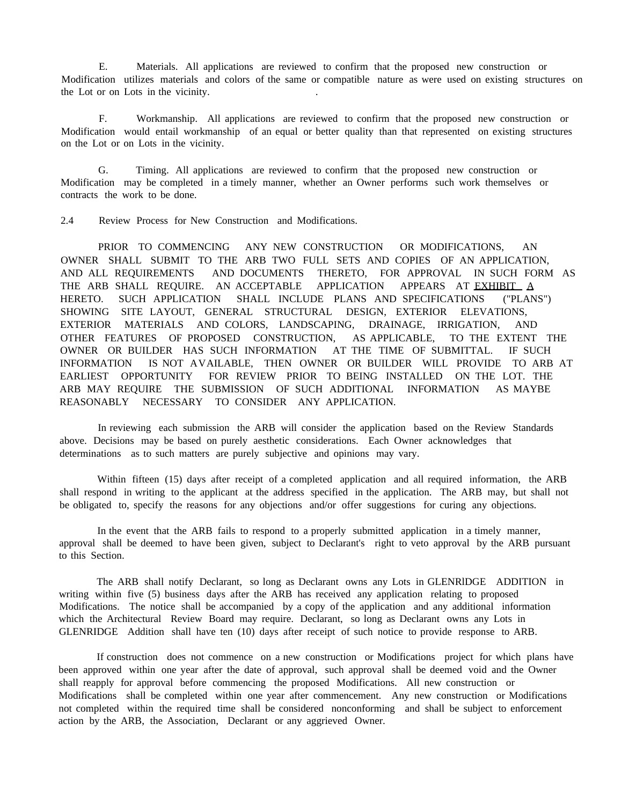E. Materials. All applications are reviewed to confirm that the proposed new construction or Modification utilizes materials and colors of the same or compatible nature as were used on existing structures on the Lot or on Lots in the vicinity.

F. Workmanship. All applications are reviewed to confirm that the proposed new construction or Modification would entail workmanship of an equal or better quality than that represented on existing structures on the Lot or on Lots in the vicinity.

G. Timing. All applications are reviewed to confirm that the proposed new construction or Modification may be completed in a timely manner, whether an Owner performs such work themselves or contracts the work to be done.

2.4 Review Process for New Construction and Modifications.

PRIOR TO COMMENCING ANY NEW CONSTRUCTION OR MODIFICATIONS, AN OWNER SHALL SUBMIT TO THE ARB TWO FULL SETS AND COPIES OF AN APPLICATION, AND ALL REQUIREMENTS AND DOCUMENTS THERETO, FOR APPROVAL IN SUCH FORM AS THE ARB SHALL REQUIRE. AN ACCEPTABLE APPLICATION APPEARS AT EXHIBIT A HERETO. SUCH APPLICATION SHALL INCLUDE PLANS AND SPECIFICATIONS ("PLANS") SHOWING SITE LAYOUT, GENERAL STRUCTURAL DESIGN, EXTERIOR ELEVATIONS, EXTERIOR MATERIALS AND COLORS, LANDSCAPING, DRAINAGE, IRRIGATION, AND OTHER FEATURES OF PROPOSED CONSTRUCTION, AS APPLICABLE, TO THE EXTENT THE OWNER OR BUILDER HAS SUCH INFORMATION AT THE TIME OF SUBMITTAL. IF SUCH INFORMATION IS NOT AVAILABLE, THEN OWNER OR BUILDER WILL PROVIDE TO ARB AT EARLIEST OPPORTUNITY FOR REVIEW PRIOR TO BEING INSTALLED ON THE LOT. THE ARB MAY REQUIRE THE SUBMISSION OF SUCH ADDITIONAL INFORMATION AS MAYBE REASONABLY NECESSARY TO CONSIDER ANY APPLICATION.

In reviewing each submission the ARB will consider the application based on the Review Standards above. Decisions may be based on purely aesthetic considerations. Each Owner acknowledges that determinations as to such matters are purely subjective and opinions may vary.

Within fifteen (15) days after receipt of a completed application and all required information, the ARB shall respond in writing to the applicant at the address specified in the application. The ARB may, but shall not be obligated to, specify the reasons for any objections and/or offer suggestions for curing any objections.

In the event that the ARB fails to respond to a properly submitted application in a timely manner, approval shall be deemed to have been given, subject to Declarant's right to veto approval by the ARB pursuant to this Section.

The ARB shall notify Declarant, so long as Declarant owns any Lots in GLENRlDGE ADDITION in writing within five (5) business days after the ARB has received any application relating to proposed Modifications. The notice shall be accompanied by a copy of the application and any additional information which the Architectural Review Board may require. Declarant, so long as Declarant owns any Lots in GLENRIDGE Addition shall have ten (10) days after receipt of such notice to provide response to ARB.

If construction does not commence on a new construction or Modifications project for which plans have been approved within one year after the date of approval, such approval shall be deemed void and the Owner shall reapply for approval before commencing the proposed Modifications. All new construction or Modifications shall be completed within one year after commencement. Any new construction or Modifications not completed within the required time shall be considered nonconforming and shall be subject to enforcement action by the ARB, the Association, Declarant or any aggrieved Owner.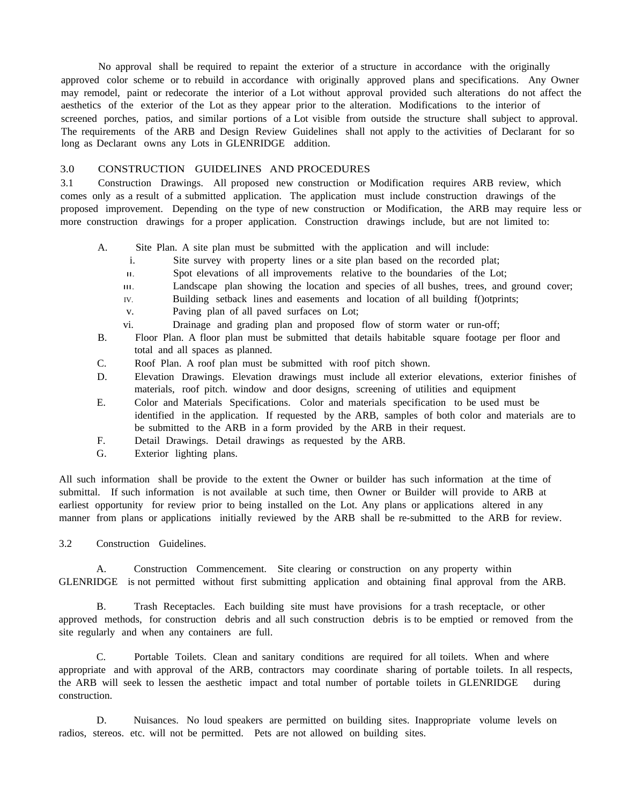No approval shall be required to repaint the exterior of a structure in accordance with the originally approved color scheme or to rebuild in accordance with originally approved plans and specifications. Any Owner may remodel, paint or redecorate the interior of a Lot without approval provided such alterations do not affect the aesthetics of the exterior of the Lot as they appear prior to the alteration. Modifications to the interior of screened porches, patios, and similar portions of a Lot visible from outside the structure shall subject to approval. The requirements of the ARB and Design Review Guidelines shall not apply to the activities of Declarant for so long as Declarant owns any Lots in GLENRIDGE addition.

## 3.0 CONSTRUCTION GUIDELINES AND PROCEDURES

3.1 Construction Drawings. All proposed new construction or Modification requires ARB review, which comes only as a result of a submitted application. The application must include construction drawings of the proposed improvement. Depending on the type of new construction or Modification, the ARB may require less or more construction drawings for a proper application. Construction drawings include, but are not limited to:

- A. Site Plan. A site plan must be submitted with the application and will include:
	- i. Site survey with property lines or a site plan based on the recorded plat;
	- II. Spot elevations of all improvements relative to the boundaries of the Lot;
	- III. Landscape plan showing the location and species of all bushes, trees, and ground cover;
	- IV. Building setback lines and easements and location of all building f()otprints;
	- v. Paving plan of all paved surfaces on Lot;
	- vi. Drainage and grading plan and proposed flow of storm water or run-off;
- B. Floor Plan. A floor plan must be submitted that details habitable square footage per floor and total and all spaces as planned.
- C. Roof Plan. A roof plan must be submitted with roof pitch shown.
- D. Elevation Drawings. Elevation drawings must include all exterior elevations, exterior finishes of materials, roof pitch. window and door designs, screening of utilities and equipment
- E. Color and Materials Specifications. Color and materials specification to be used must be identified in the application. If requested by the ARB, samples of both color and materials are to be submitted to the ARB in a form provided by the ARB in their request.
- F. Detail Drawings. Detail drawings as requested by the ARB.
- G. Exterior lighting plans.

All such information shall be provide to the extent the Owner or builder has such information at the time of submittal. If such information is not available at such time, then Owner or Builder will provide to ARB at earliest opportunity for review prior to being installed on the Lot. Any plans or applications altered in any manner from plans or applications initially reviewed by the ARB shall be re-submitted to the ARB for review.

3.2 Construction Guidelines.

A. Construction Commencement. Site clearing or construction on any property within GLENRIDGE is not permitted without first submitting application and obtaining final approval from the ARB.

B. Trash Receptacles. Each building site must have provisions for a trash receptacle, or other approved methods, for construction debris and all such construction debris is to be emptied or removed from the site regularly and when any containers are full.

C. Portable Toilets. Clean and sanitary conditions are required for all toilets. When and where appropriate and with approval of the ARB, contractors may coordinate sharing of portable toilets. In all respects, the ARB will seek to lessen the aesthetic impact and total number of portable toilets in GLENRIDGE during construction.

D. Nuisances. No loud speakers are permitted on building sites. Inappropriate volume levels on radios, stereos. etc. will not be permitted. Pets are not allowed on building sites.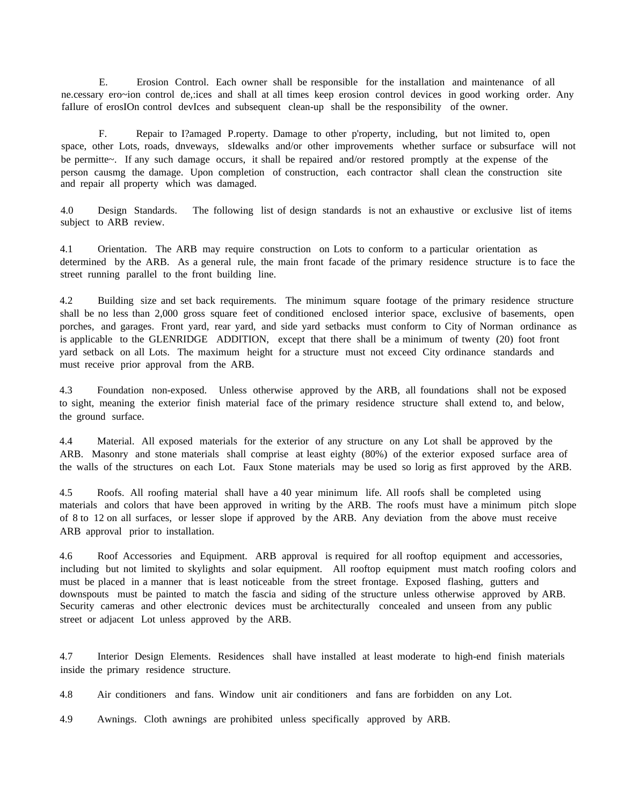E. Erosion Control. Each owner shall be responsible for the installation and maintenance of all ne.cessary ero~ion control de,:ices and shall at all times keep erosion control devices in good working order. Any faIlure of erosIOn control devIces and subsequent clean-up shall be the responsibility of the owner.

F. Repair to I?amaged P.roperty. Damage to other p'roperty, including, but not limited to, open space, other Lots, roads, dnveways, sIdewalks and/or other improvements whether surface or subsurface will not be permitte~. If any such damage occurs, it shall be repaired and/or restored promptly at the expense of the person causmg the damage. Upon completion of construction, each contractor shall clean the construction site and repair all property which was damaged.

4.0 Design Standards. The following list of design standards is not an exhaustive or exclusive list of items subject to ARB review.

4.1 Orientation. The ARB may require construction on Lots to conform to a particular orientation as determined by the ARB. As a general rule, the main front facade of the primary residence structure is to face the street running parallel to the front building line.

4.2 Building size and set back requirements. The minimum square footage of the primary residence structure shall be no less than 2,000 gross square feet of conditioned enclosed interior space, exclusive of basements, open porches, and garages. Front yard, rear yard, and side yard setbacks must conform to City of Norman ordinance as is applicable to the GLENRIDGE ADDITION, except that there shall be a minimum of twenty (20) foot front yard setback on all Lots. The maximum height for a structure must not exceed City ordinance standards and must receive prior approval from the ARB.

4.3 Foundation non-exposed. Unless otherwise approved by the ARB, all foundations shall not be exposed to sight, meaning the exterior finish material face of the primary residence structure shall extend to, and below, the ground surface.

4.4 Material. All exposed materials for the exterior of any structure on any Lot shall be approved by the ARB. Masonry and stone materials shall comprise at least eighty (80%) of the exterior exposed surface area of the walls of the structures on each Lot. Faux Stone materials may be used so lorig as first approved by the ARB.

4.5 Roofs. All roofing material shall have a 40 year minimum life. All roofs shall be completed using materials and colors that have been approved in writing by the ARB. The roofs must have a minimum pitch slope of 8 to 12 on all surfaces, or lesser slope if approved by the ARB. Any deviation from the above must receive ARB approval prior to installation.

4.6 Roof Accessories and Equipment. ARB approval is required for all rooftop equipment and accessories, including but not limited to skylights and solar equipment. All rooftop equipment must match roofing colors and must be placed in a manner that is least noticeable from the street frontage. Exposed flashing, gutters and downspouts must be painted to match the fascia and siding of the structure unless otherwise approved by ARB. Security cameras and other electronic devices must be architecturally concealed and unseen from any public street or adjacent Lot unless approved by the ARB.

4.7 Interior Design Elements. Residences shall have installed at least moderate to high-end finish materials inside the primary residence structure.

4.8 Air conditioners and fans. Window unit air conditioners and fans are forbidden on any Lot.

4.9 Awnings. Cloth awnings are prohibited unless specifically approved by ARB.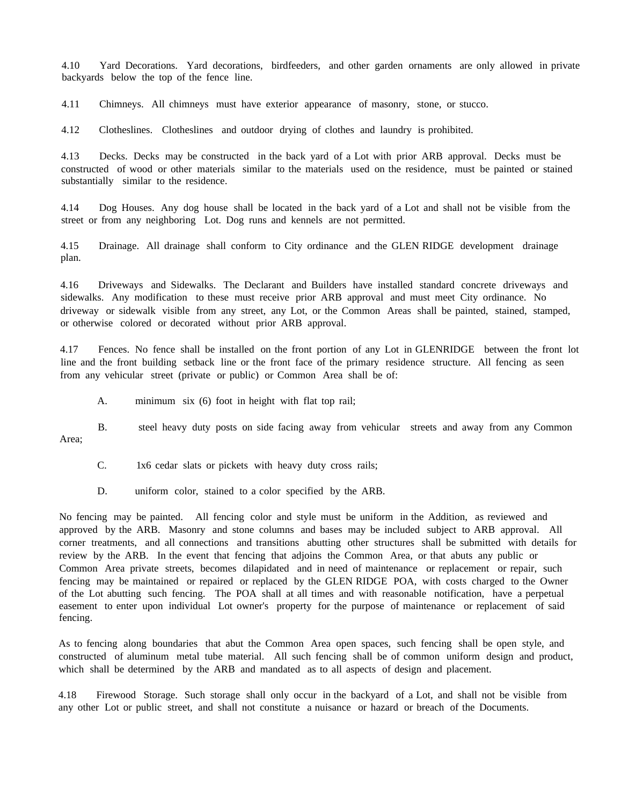4.10 Yard Decorations. Yard decorations, birdfeeders, and other garden ornaments are only allowed in private backyards below the top of the fence line.

4.11 Chimneys. All chimneys must have exterior appearance of masonry, stone, or stucco.

4.12 Clotheslines. Clotheslines and outdoor drying of clothes and laundry is prohibited.

4.13 Decks. Decks may be constructed in the back yard of a Lot with prior ARB approval. Decks must be constructed of wood or other materials similar to the materials used on the residence, must be painted or stained substantially similar to the residence.

4.14 Dog Houses. Any dog house shall be located in the back yard of a Lot and shall not be visible from the street or from any neighboring Lot. Dog runs and kennels are not permitted.

4.15 Drainage. All drainage shall conform to City ordinance and the GLEN RIDGE development drainage plan.

4.16 Driveways and Sidewalks. The Declarant and Builders have installed standard concrete driveways and sidewalks. Any modification to these must receive prior ARB approval and must meet City ordinance. No driveway or sidewalk visible from any street, any Lot, or the Common Areas shall be painted, stained, stamped, or otherwise colored or decorated without prior ARB approval.

4.17 Fences. No fence shall be installed on the front portion of any Lot in GLENRIDGE between the front lot line and the front building setback line or the front face of the primary residence structure. All fencing as seen from any vehicular street (private or public) or Common Area shall be of:

A. minimum six (6) foot in height with flat top rail;

B. steel heavy duty posts on side facing away from vehicular streets and away from any Common Area;

C. 1x6 cedar slats or pickets with heavy duty cross rails;

D. uniform color, stained to a color specified by the ARB.

No fencing may be painted. All fencing color and style must be uniform in the Addition, as reviewed and approved by the ARB. Masonry and stone columns and bases may be included subject to ARB approval. All corner treatments, and all connections and transitions abutting other structures shall be submitted with details for review by the ARB. In the event that fencing that adjoins the Common Area, or that abuts any public or Common Area private streets, becomes dilapidated and in need of maintenance or replacement or repair, such fencing may be maintained or repaired or replaced by the GLEN RIDGE POA, with costs charged to the Owner of the Lot abutting such fencing. The POA shall at all times and with reasonable notification, have a perpetual easement to enter upon individual Lot owner's property for the purpose of maintenance or replacement of said fencing.

As to fencing along boundaries that abut the Common Area open spaces, such fencing shall be open style, and constructed of aluminum metal tube material. All such fencing shall be of common uniform design and product, which shall be determined by the ARB and mandated as to all aspects of design and placement.

4.18 Firewood Storage. Such storage shall only occur in the backyard of a Lot, and shall not be visible from any other Lot or public street, and shall not constitute a nuisance or hazard or breach of the Documents.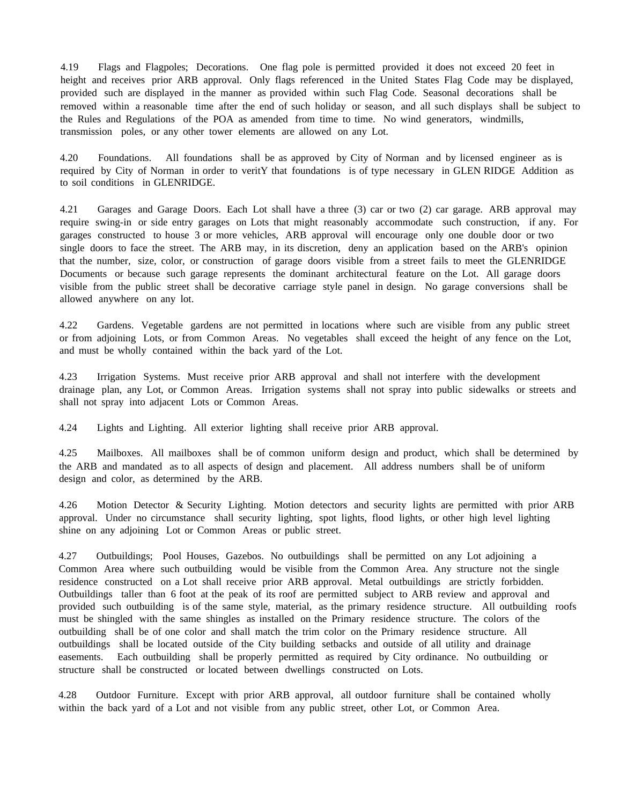4.19 Flags and Flagpoles; Decorations. One flag pole is permitted provided it does not exceed 20 feet in height and receives prior ARB approval. Only flags referenced in the United States Flag Code may be displayed, provided such are displayed in the manner as provided within such Flag Code. Seasonal decorations shall be removed within a reasonable time after the end of such holiday or season, and all such displays shall be subject to the Rules and Regulations of the POA as amended from time to time. No wind generators, windmills, transmission poles, or any other tower elements are allowed on any Lot.

4.20 Foundations. All foundations shall be as approved by City of Norman and by licensed engineer as is required by City of Norman in order to veritY that foundations is of type necessary in GLEN RIDGE Addition as to soil conditions in GLENRIDGE.

4.21 Garages and Garage Doors. Each Lot shall have a three (3) car or two (2) car garage. ARB approval may require swing-in or side entry garages on Lots that might reasonably accommodate such construction, if any. For garages constructed to house 3 or more vehicles, ARB approval will encourage only one double door or two single doors to face the street. The ARB may, in its discretion, deny an application based on the ARB's opinion that the number, size, color, or construction of garage doors visible from a street fails to meet the GLENRIDGE Documents or because such garage represents the dominant architectural feature on the Lot. All garage doors visible from the public street shall be decorative carriage style panel in design. No garage conversions shall be allowed anywhere on any lot.

4.22 Gardens. Vegetable gardens are not permitted in locations where such are visible from any public street or from adjoining Lots, or from Common Areas. No vegetables shall exceed the height of any fence on the Lot, and must be wholly contained within the back yard of the Lot.

4.23 Irrigation Systems. Must receive prior ARB approval and shall not interfere with the development drainage plan, any Lot, or Common Areas. Irrigation systems shall not spray into public sidewalks or streets and shall not spray into adjacent Lots or Common Areas.

4.24 Lights and Lighting. All exterior lighting shall receive prior ARB approval.

4.25 Mailboxes. All mailboxes shall be of common uniform design and product, which shall be determined by the ARB and mandated as to all aspects of design and placement. All address numbers shall be of uniform design and color, as determined by the ARB.

4.26 Motion Detector & Security Lighting. Motion detectors and security lights are permitted with prior ARB approval. Under no circumstance shall security lighting, spot lights, flood lights, or other high level lighting shine on any adjoining Lot or Common Areas or public street.

4.27 Outbuildings; Pool Houses, Gazebos. No outbuildings shall be permitted on any Lot adjoining a Common Area where such outbuilding would be visible from the Common Area. Any structure not the single residence constructed on a Lot shall receive prior ARB approval. Metal outbuildings are strictly forbidden. Outbuildings taller than 6 foot at the peak of its roof are permitted subject to ARB review and approval and provided such outbuilding is of the same style, material, as the primary residence structure. All outbuilding roofs must be shingled with the same shingles as installed on the Primary residence structure. The colors of the outbuilding shall be of one color and shall match the trim color on the Primary residence structure. All outbuildings shall be located outside of the City building setbacks and outside of all utility and drainage easements. Each outbuilding shall be properly permitted as required by City ordinance. No outbuilding or structure shall be constructed or located between dwellings constructed on Lots.

4.28 Outdoor Furniture. Except with prior ARB approval, all outdoor furniture shall be contained wholly within the back yard of a Lot and not visible from any public street, other Lot, or Common Area.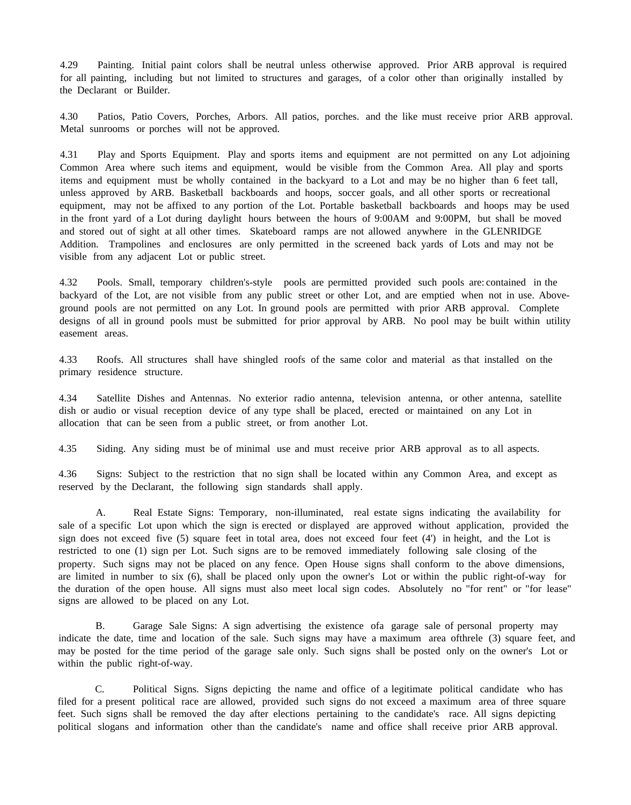4.29 Painting. Initial paint colors shall be neutral unless otherwise approved. Prior ARB approval is required for all painting, including but not limited to structures and garages, of a color other than originally installed by the Declarant or Builder.

4.30 Patios, Patio Covers, Porches, Arbors. All patios, porches. and the like must receive prior ARB approval. Metal sunrooms or porches will not be approved.

4.31 Play and Sports Equipment. Play and sports items and equipment are not permitted on any Lot adjoining Common Area where such items and equipment, would be visible from the Common Area. All play and sports items and equipment must be wholly contained in the backyard to a Lot and may be no higher than 6 feet tall, unless approved by ARB. Basketball backboards and hoops, soccer goals, and all other sports or recreational equipment, may not be affixed to any portion of the Lot. Portable basketball backboards and hoops may be used in the front yard of a Lot during daylight hours between the hours of 9:00AM and 9:00PM, but shall be moved and stored out of sight at all other times. Skateboard ramps are not allowed anywhere in the GLENRIDGE Addition. Trampolines and enclosures are only permitted in the screened back yards of Lots and may not be visible from any adjacent Lot or public street.

4.32 Pools. Small, temporary children's-style pools are permitted provided such pools are: contained in the backyard of the Lot, are not visible from any public street or other Lot, and are emptied when not in use. Aboveground pools are not permitted on any Lot. In ground pools are permitted with prior ARB approval. Complete designs of all in ground pools must be submitted for prior approval by ARB. No pool may be built within utility easement areas.

4.33 Roofs. All structures shall have shingled roofs of the same color and material as that installed on the primary residence structure.

4.34 Satellite Dishes and Antennas. No exterior radio antenna, television antenna, or other antenna, satellite dish or audio or visual reception device of any type shall be placed, erected or maintained on any Lot in allocation that can be seen from a public street, or from another Lot.

4.35 Siding. Any siding must be of minimal use and must receive prior ARB approval as to all aspects.

4.36 Signs: Subject to the restriction that no sign shall be located within any Common Area, and except as reserved by the Declarant, the following sign standards shall apply.

A. Real Estate Signs: Temporary, non-illuminated, real estate signs indicating the availability for sale of a specific Lot upon which the sign is erected or displayed are approved without application, provided the sign does not exceed five (5) square feet in total area, does not exceed four feet (4') in height, and the Lot is restricted to one (1) sign per Lot. Such signs are to be removed immediately following sale closing of the property. Such signs may not be placed on any fence. Open House signs shall conform to the above dimensions, are limited in number to six (6), shall be placed only upon the owner's Lot or within the public right-of-way for the duration of the open house. All signs must also meet local sign codes. Absolutely no "for rent" or "for lease" signs are allowed to be placed on any Lot.

B. Garage Sale Signs: A sign advertising the existence ofa garage sale of personal property may indicate the date, time and location of the sale. Such signs may have a maximum area ofthrele (3) square feet, and may be posted for the time period of the garage sale only. Such signs shall be posted only on the owner's Lot or within the public right-of-way.

C. Political Signs. Signs depicting the name and office of a legitimate political candidate who has filed for a present political race are allowed, provided such signs do not exceed a maximum area of three square feet. Such signs shall be removed the day after elections pertaining to the candidate's race. All signs depicting political slogans and information other than the candidate's name and office shall receive prior ARB approval.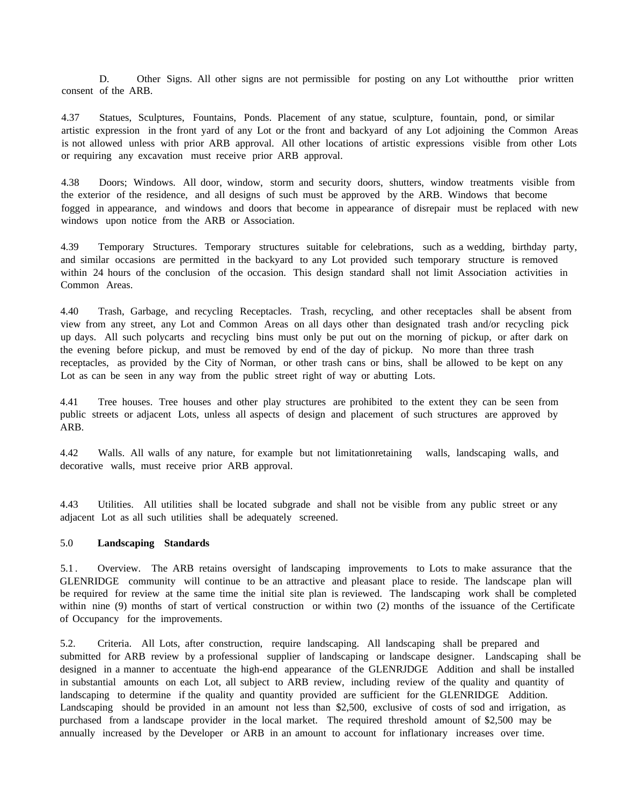D. Other Signs. All other signs are not permissible for posting on any Lot without the prior written consent of the ARB.

4.37 Statues, Sculptures, Fountains, Ponds. Placement of any statue, sculpture, fountain, pond, or similar artistic expression in the front yard of any Lot or the front and backyard of any Lot adjoining the Common Areas is not allowed unless with prior ARB approval. All other locations of artistic expressions visible from other Lots or requiring any excavation must receive prior ARB approval.

4.38 Doors; Windows. All door, window, storm and security doors, shutters, window treatments visible from the exterior of the residence, and all designs of such must be approved by the ARB. Windows that become fogged in appearance, and windows and doors that become in appearance of disrepair must be replaced with new windows upon notice from the ARB or Association.

4.39 Temporary Structures. Temporary structures suitable for celebrations, such as a wedding, birthday party, and similar occasions are permitted in the backyard to any Lot provided such temporary structure is removed within 24 hours of the conclusion of the occasion. This design standard shall not limit Association activities in Common Areas.

4.40 Trash, Garbage, and recycling Receptacles. Trash, recycling, and other receptacles shall be absent from view from any street, any Lot and Common Areas on all days other than designated trash and/or recycling pick up days. All such polycarts and recycling bins must only be put out on the morning of pickup, or after dark on the evening before pickup, and must be removed by end of the day of pickup. No more than three trash receptacles, as provided by the City of Norman, or other trash cans or bins, shall be allowed to be kept on any Lot as can be seen in any way from the public street right of way or abutting Lots.

4.41 Tree houses. Tree houses and other play structures are prohibited to the extent they can be seen from public streets or adjacent Lots, unless all aspects of design and placement of such structures are approved by ARB.

4.42 Walls. All walls of any nature, for example but not limitationretaining walls, landscaping walls, and decorative walls, must receive prior ARB approval.

4.43 Utilities. All utilities shall be located subgrade and shall not be visible from any public street or any adjacent Lot as all such utilities shall be adequately screened.

## 5.0 **Landscaping Standards**

5.1 . Overview. The ARB retains oversight of landscaping improvements to Lots to make assurance that the GLENRIDGE community will continue to be an attractive and pleasant place to reside. The landscape plan will be required for review at the same time the initial site plan is reviewed. The landscaping work shall be completed within nine (9) months of start of vertical construction or within two (2) months of the issuance of the Certificate of Occupancy for the improvements.

5.2. Criteria. All Lots, after construction, require landscaping. All landscaping shall be prepared and submitted for ARB review by a professional supplier of landscaping or landscape designer. Landscaping shall be designed in a manner to accentuate the high-end appearance of the GLENRJDGE Addition and shall be installed in substantial amounts on each Lot, all subject to ARB review, including review of the quality and quantity of landscaping to determine if the quality and quantity provided are sufficient for the GLENRIDGE Addition. Landscaping should be provided in an amount not less than \$2,500, exclusive of costs of sod and irrigation, as purchased from a landscape provider in the local market. The required threshold amount of \$2,500 may be annually increased by the Developer or ARB in an amount to account for inflationary increases over time.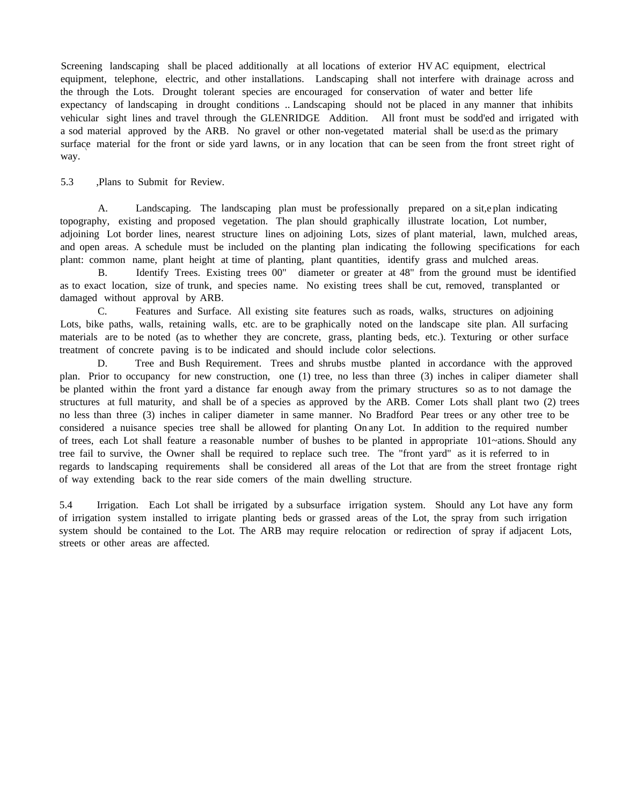Screening landscaping shall be placed additionally at all locations of exterior HV AC equipment, electrical equipment, telephone, electric, and other installations. Landscaping shall not interfere with drainage across and the through the Lots. Drought tolerant species are encouraged for conservation of water and better life expectancy of landscaping in drought conditions .. Landscaping should not be placed in any manner that inhibits vehicular sight lines and travel through the GLENRIDGE Addition. All front must be sodd'ed and irrigated with a sod material approved by the ARB. No gravel or other non-vegetated material shall be use:d as the primary surface material for the front or side yard lawns, or in any location that can be seen from the front street right of way.

5.3 ,Plans to Submit for Review.

A. Landscaping. The landscaping plan must be professionally prepared on a sit,e plan indicating topography, existing and proposed vegetation. The plan should graphically illustrate location, Lot number, adjoining Lot border lines, nearest structure lines on adjoining Lots, sizes of plant material, lawn, mulched areas, and open areas. A schedule must be included on the planting plan indicating the following specifications for each plant: common name, plant height at time of planting, plant quantities, identify grass and mulched areas.

B. Identify Trees. Existing trees 00" diameter or greater at 48" from the ground must be identified as to exact location, size of trunk, and species name. No existing trees shall be cut, removed, transplanted or damaged without approval by ARB.

C. Features and Surface. All existing site features such as roads, walks, structures on adjoining Lots, bike paths, walls, retaining walls, etc. are to be graphically noted on the landscape site plan. All surfacing materials are to be noted (as to whether they are concrete, grass, planting beds, etc.). Texturing or other surface treatment of concrete paving is to be indicated and should include color selections.

D. Tree and Bush Requirement. Trees and shrubs mustbe planted in accordance with the approved plan. Prior to occupancy for new construction, one (1) tree, no less than three (3) inches in caliper diameter shall be planted within the front yard a distance far enough away from the primary structures so as to not damage the structures at full maturity, and shall be of a species as approved by the ARB. Comer Lots shall plant two (2) trees no less than three (3) inches in caliper diameter in same manner. No Bradford Pear trees or any other tree to be considered a nuisance species tree shall be allowed for planting On any Lot. In addition to the required number of trees, each Lot shall feature a reasonable number of bushes to be planted in appropriate 101~ations. Should any tree fail to survive, the Owner shall be required to replace such tree. The "front yard" as it is referred to in regards to landscaping requirements shall be considered all areas of the Lot that are from the street frontage right of way extending back to the rear side comers of the main dwelling structure.

5.4 Irrigation. Each Lot shall be irrigated by a subsurface irrigation system. Should any Lot have any form of irrigation system installed to irrigate planting beds or grassed areas of the Lot, the spray from such irrigation system should be contained to the Lot. The ARB may require relocation or redirection of spray if adjacent Lots, streets or other areas are affected.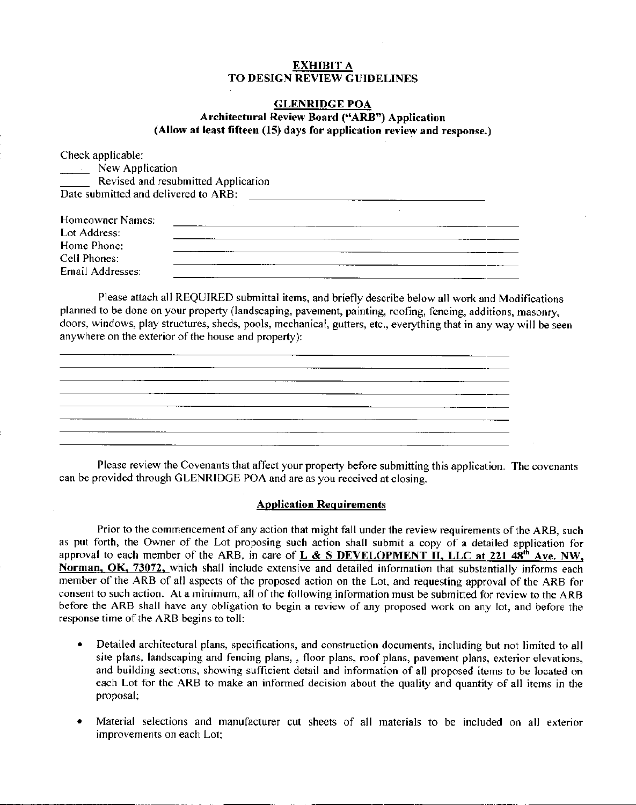# EXHIBIT A TO DESIGN REVIEW GUIDELINES

# GLENRIDGE POA Architectural Review Board ("ARB") Application (Allow at least fifteen (15) days for application review and response.)

Check applicable: **New Application** Revised and resubmitted Application Date submitted and delivered to ARB: Homeowner Names: Lot Address: ,我们就是一个人的人,我们就是一个人的人,我们就是一个人的人,我们就是一个人的人,我们就是一个人的人,我们就是一个人的人,我们就是一个人的人,我们就是一个人的人 Home Phone: Cell Phones: Email Addresses:

Please attach all REQUIRED submittal items, and briefly describe below all work and Modifications planned to be done on your property (landscaping, pavement, painting, roofing, fencing, additions, masonry, doors, windows, play structures, sheds, pools, mechanical, gutters, etc., everything that in any way will be seen anywhere on the exterior of the house and property):

| <u> 2000 - Jan James Sand, Amerikaansk politiker (d. 1980)</u>                                                         |  |  |
|------------------------------------------------------------------------------------------------------------------------|--|--|
|                                                                                                                        |  |  |
|                                                                                                                        |  |  |
| <u> a shekara ta 1999 na shekara ta 1999, a shekara ta 1999, a shekara ta 1999, a shekara ta 1999, a shekara ta 19</u> |  |  |
|                                                                                                                        |  |  |
| <u> 1989 - Andrea San Andrea Andrea Andrea Andrea Andrea Andrea Andrea Andrea Andrea Andrea Andrea Andrea Andrea </u>  |  |  |
|                                                                                                                        |  |  |
|                                                                                                                        |  |  |
|                                                                                                                        |  |  |
|                                                                                                                        |  |  |
|                                                                                                                        |  |  |
| <u> – province i province i province i province i province i province i province i province i province i province</u>  |  |  |
|                                                                                                                        |  |  |
|                                                                                                                        |  |  |
|                                                                                                                        |  |  |
|                                                                                                                        |  |  |
|                                                                                                                        |  |  |
|                                                                                                                        |  |  |
|                                                                                                                        |  |  |

Please review the Covenants that affect your property before submitting this application. The covenants can be provided through GLENRIDGE POA and are as you received at closing.

## Application Requirements

Prior to the commencement of any action that might fall under the review requirements of the ARB, such as put forth, the Owner of the Lot proposing such action shall submit a copy of a detailed application for approval to each member of the ARB, in care of  $L \& S$  **DEVELOPMENT II, LLC at 221 48<sup>th</sup> Ave. NW,** Norman, OK, 73072, which shall include extensive and detailed information that substantially informs each member of the ARB of all aspects of the proposed action on the Lot, and requesting approval of the ARB for consent to such action. At a minimum, all of the following information must be submitted for review to the ARB before the ARB shall have any obligation to begin a review of any proposed work on any lot, and before the response time of the ARB begins to toll:

- Detailed architectural plans, specifications, and construction documents, including but not limited to all site plans, landscaping and fencing plans, , floor plans, roof plans, pavement plans, exterior elevations, and building sections, showing sufficient detail and information of all proposed items to be located on each Lot for the ARB to make an informed decision about the quality and quantity of all items in the proposal;
- Material selections and manufacturer cut sheets of all materials to be included on all exterior improvements on each Lot;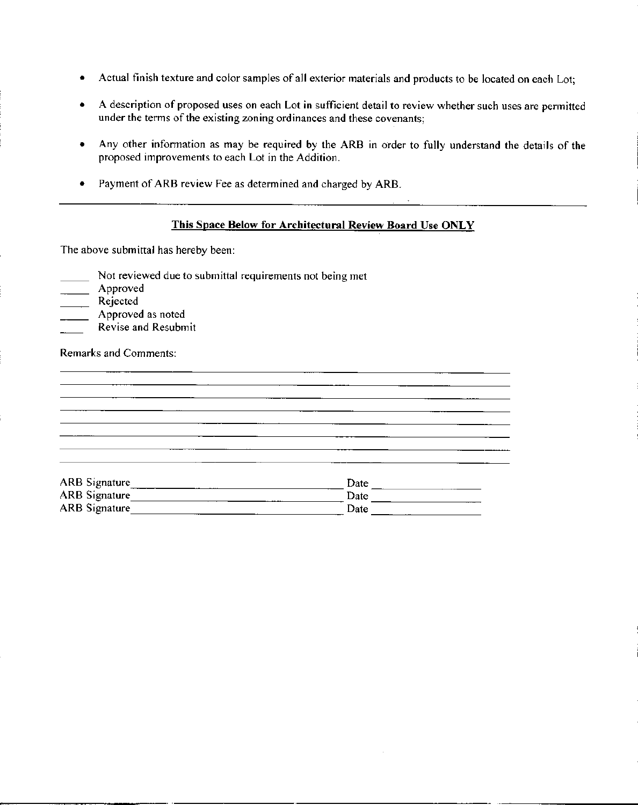- Actual finish texture and color samples of all exterior materials and products to be located on each Lot;
- A description of proposed uses on each Lot in sufficient detail to review whether such uses are pennitted under the terms of the existing zoning ordinances and these covenants;
- Any other information as may be required by the ARB in order to fully understand the details of the proposed improvements to each Lot in the Addition.
- Payment of ARB review Fee as determined and charged by ARB.

# This Space Below for Architectural Review Board Use ONLY

<u> 1980 - Johann Barn, mars ann an t-Amhainn an t-Amhainn an t-Amhainn an t-Amhainn an t-Amhainn an t-Amhainn an</u>

**College** 

The above submittal has hereby been:

- Not reviewed due to submittal requirements not being met
- Approved
- Rejected
- **Approved as noted**
- Revise and Resubmit

Remarks and Comments:

| ARB Signature_<br>ARB Signature_ | Date |  |
|----------------------------------|------|--|
|                                  | Date |  |
| <b>ARB</b> Signature             | Date |  |